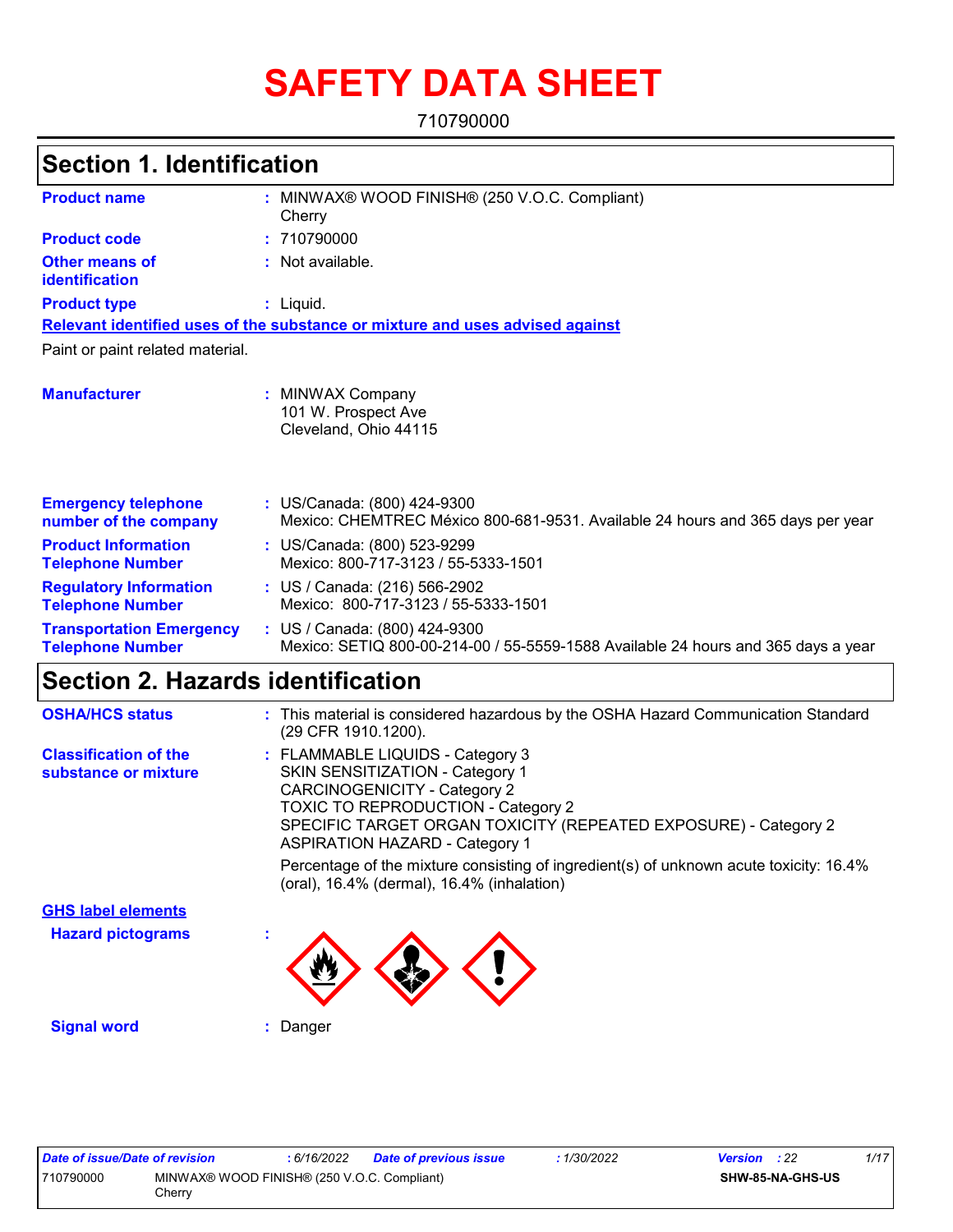# **SAFETY DATA SHEET**

710790000

| <b>Section 1. Identification</b>                           |                                                                                                                    |  |
|------------------------------------------------------------|--------------------------------------------------------------------------------------------------------------------|--|
| <b>Product name</b>                                        | MINWAX® WOOD FINISH® (250 V.O.C. Compliant)<br>Cherry                                                              |  |
| <b>Product code</b>                                        | : 710790000                                                                                                        |  |
| <b>Other means of</b><br>identification                    | : Not available.                                                                                                   |  |
| <b>Product type</b>                                        | $:$ Liquid.                                                                                                        |  |
|                                                            | Relevant identified uses of the substance or mixture and uses advised against                                      |  |
| Paint or paint related material.                           |                                                                                                                    |  |
| <b>Manufacturer</b>                                        | : MINWAX Company<br>101 W. Prospect Ave<br>Cleveland, Ohio 44115                                                   |  |
| <b>Emergency telephone</b><br>number of the company        | : US/Canada: (800) 424-9300<br>Mexico: CHEMTREC México 800-681-9531. Available 24 hours and 365 days per year      |  |
| <b>Product Information</b><br><b>Telephone Number</b>      | : US/Canada: (800) 523-9299<br>Mexico: 800-717-3123 / 55-5333-1501                                                 |  |
| <b>Regulatory Information</b><br><b>Telephone Number</b>   | : US / Canada: (216) 566-2902<br>Mexico: 800-717-3123 / 55-5333-1501                                               |  |
| <b>Transportation Emergency</b><br><b>Telephone Number</b> | : US / Canada: (800) 424-9300<br>Mexico: SETIQ 800-00-214-00 / 55-5559-1588 Available 24 hours and 365 days a year |  |

| <b>OSHA/HCS status</b>                               | : This material is considered hazardous by the OSHA Hazard Communication Standard<br>(29 CFR 1910.1200).                                                                                                                                                                   |
|------------------------------------------------------|----------------------------------------------------------------------------------------------------------------------------------------------------------------------------------------------------------------------------------------------------------------------------|
| <b>Classification of the</b><br>substance or mixture | : FLAMMABLE LIQUIDS - Category 3<br><b>SKIN SENSITIZATION - Category 1</b><br><b>CARCINOGENICITY - Category 2</b><br><b>TOXIC TO REPRODUCTION - Category 2</b><br>SPECIFIC TARGET ORGAN TOXICITY (REPEATED EXPOSURE) - Category 2<br><b>ASPIRATION HAZARD - Category 1</b> |
|                                                      | Percentage of the mixture consisting of ingredient(s) of unknown acute toxicity: 16.4%<br>(oral), 16.4% (dermal), 16.4% (inhalation)                                                                                                                                       |
| <b>GHS label elements</b>                            |                                                                                                                                                                                                                                                                            |
| <b>Hazard pictograms</b>                             |                                                                                                                                                                                                                                                                            |
| <b>Signal word</b>                                   | Danger                                                                                                                                                                                                                                                                     |

| Date of issue/Date of revision |                                                       | : 6/16/2022 | <b>Date of previous issue</b> | : 1/30/2022 | <b>Version</b> : 22 |                         | 1/17 |
|--------------------------------|-------------------------------------------------------|-------------|-------------------------------|-------------|---------------------|-------------------------|------|
| 710790000                      | MINWAX® WOOD FINISH® (250 V.O.C. Compliant)<br>Cherrv |             |                               |             |                     | <b>SHW-85-NA-GHS-US</b> |      |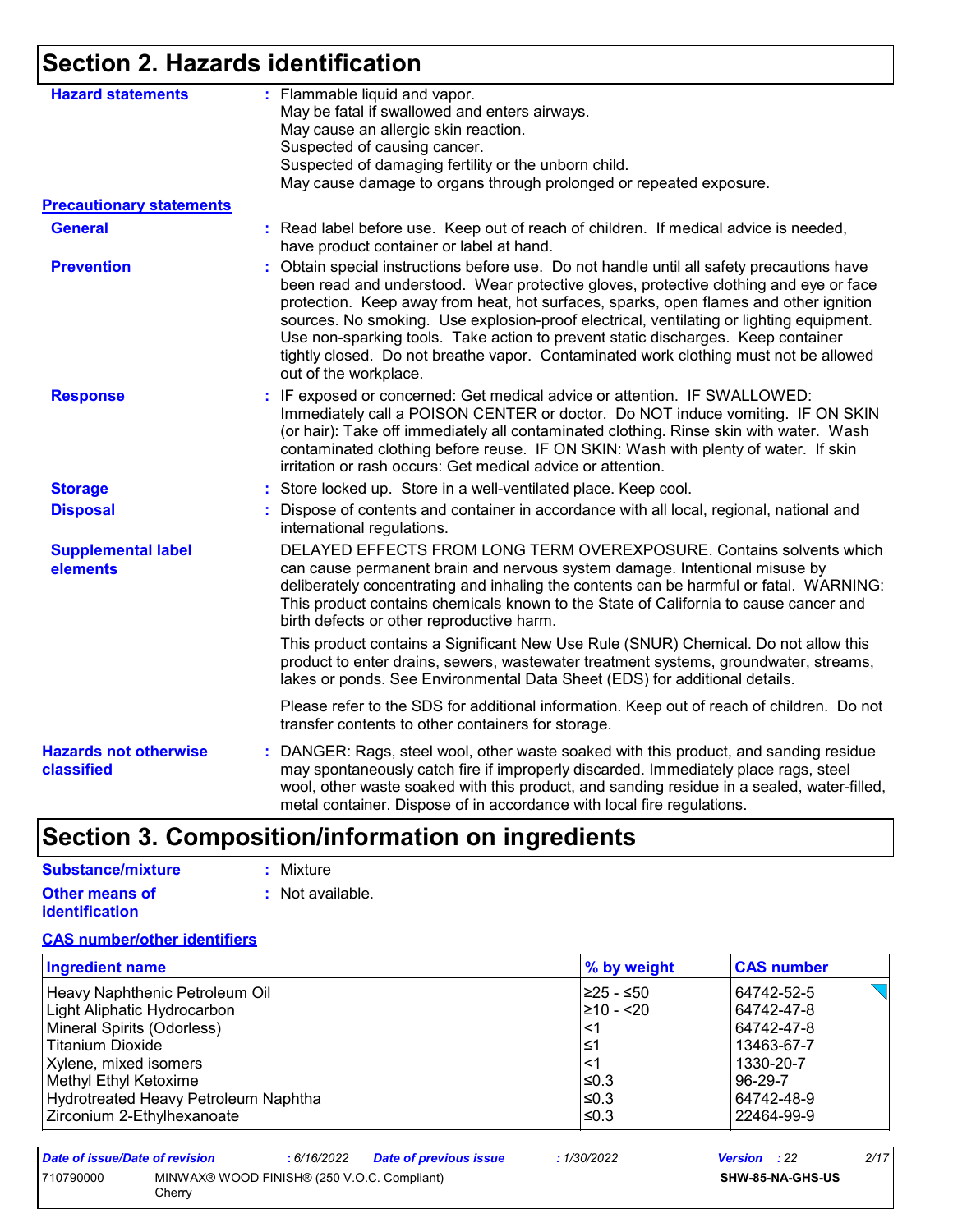# **Section 2. Hazards identification**

| <b>Hazard statements</b>                   | : Flammable liquid and vapor.<br>May be fatal if swallowed and enters airways.                                                                                                                                                                                                                                                                                                                                                                                                                                                                                                  |
|--------------------------------------------|---------------------------------------------------------------------------------------------------------------------------------------------------------------------------------------------------------------------------------------------------------------------------------------------------------------------------------------------------------------------------------------------------------------------------------------------------------------------------------------------------------------------------------------------------------------------------------|
|                                            | May cause an allergic skin reaction.                                                                                                                                                                                                                                                                                                                                                                                                                                                                                                                                            |
|                                            | Suspected of causing cancer.                                                                                                                                                                                                                                                                                                                                                                                                                                                                                                                                                    |
|                                            | Suspected of damaging fertility or the unborn child.                                                                                                                                                                                                                                                                                                                                                                                                                                                                                                                            |
|                                            | May cause damage to organs through prolonged or repeated exposure.                                                                                                                                                                                                                                                                                                                                                                                                                                                                                                              |
| <b>Precautionary statements</b>            |                                                                                                                                                                                                                                                                                                                                                                                                                                                                                                                                                                                 |
| <b>General</b>                             | : Read label before use. Keep out of reach of children. If medical advice is needed,<br>have product container or label at hand.                                                                                                                                                                                                                                                                                                                                                                                                                                                |
| <b>Prevention</b>                          | Obtain special instructions before use. Do not handle until all safety precautions have<br>÷.<br>been read and understood. Wear protective gloves, protective clothing and eye or face<br>protection. Keep away from heat, hot surfaces, sparks, open flames and other ignition<br>sources. No smoking. Use explosion-proof electrical, ventilating or lighting equipment.<br>Use non-sparking tools. Take action to prevent static discharges. Keep container<br>tightly closed. Do not breathe vapor. Contaminated work clothing must not be allowed<br>out of the workplace. |
| <b>Response</b>                            | : IF exposed or concerned: Get medical advice or attention. IF SWALLOWED:<br>Immediately call a POISON CENTER or doctor. Do NOT induce vomiting. IF ON SKIN<br>(or hair): Take off immediately all contaminated clothing. Rinse skin with water. Wash<br>contaminated clothing before reuse. IF ON SKIN: Wash with plenty of water. If skin<br>irritation or rash occurs: Get medical advice or attention.                                                                                                                                                                      |
| <b>Storage</b>                             | : Store locked up. Store in a well-ventilated place. Keep cool.                                                                                                                                                                                                                                                                                                                                                                                                                                                                                                                 |
| <b>Disposal</b>                            | : Dispose of contents and container in accordance with all local, regional, national and<br>international regulations.                                                                                                                                                                                                                                                                                                                                                                                                                                                          |
| <b>Supplemental label</b><br>elements      | DELAYED EFFECTS FROM LONG TERM OVEREXPOSURE. Contains solvents which<br>can cause permanent brain and nervous system damage. Intentional misuse by<br>deliberately concentrating and inhaling the contents can be harmful or fatal. WARNING:<br>This product contains chemicals known to the State of California to cause cancer and<br>birth defects or other reproductive harm.                                                                                                                                                                                               |
|                                            | This product contains a Significant New Use Rule (SNUR) Chemical. Do not allow this<br>product to enter drains, sewers, wastewater treatment systems, groundwater, streams,<br>lakes or ponds. See Environmental Data Sheet (EDS) for additional details.                                                                                                                                                                                                                                                                                                                       |
|                                            | Please refer to the SDS for additional information. Keep out of reach of children. Do not<br>transfer contents to other containers for storage.                                                                                                                                                                                                                                                                                                                                                                                                                                 |
| <b>Hazards not otherwise</b><br>classified | : DANGER: Rags, steel wool, other waste soaked with this product, and sanding residue<br>may spontaneously catch fire if improperly discarded. Immediately place rags, steel<br>wool, other waste soaked with this product, and sanding residue in a sealed, water-filled,<br>metal container. Dispose of in accordance with local fire regulations.                                                                                                                                                                                                                            |

# **Section 3. Composition/information on ingredients**

| Substance/mixture                              | : Mixture        |
|------------------------------------------------|------------------|
| <b>Other means of</b><br><i>identification</i> | : Not available. |

### **CAS number/other identifiers**

| <b>Ingredient name</b>               | % by weight | <b>CAS number</b> |
|--------------------------------------|-------------|-------------------|
| Heavy Naphthenic Petroleum Oil       | 225 - ≤50   | 64742-52-5        |
| Light Aliphatic Hydrocarbon          | 210 - <20   | 64742-47-8        |
| Mineral Spirits (Odorless)           | 1>،         | 64742-47-8        |
| Titanium Dioxide                     | l≤1         | 13463-67-7        |
| Xylene, mixed isomers                | $\leq$ 1    | 1330-20-7         |
| Methyl Ethyl Ketoxime                | $\leq 0.3$  | 96-29-7           |
| Hydrotreated Heavy Petroleum Naphtha | l≤0.3       | 64742-48-9        |
| Zirconium 2-Ethylhexanoate           | l≤0.3       | 22464-99-9        |

| Date of issue/Date of revision |        | : 6/16/2022                                 | <b>Date of previous issue</b> | 1/30/2022 | <b>Version</b> : 22 | 2/17 |
|--------------------------------|--------|---------------------------------------------|-------------------------------|-----------|---------------------|------|
| 710790000                      | Cherry | MINWAX® WOOD FINISH® (250 V.O.C. Compliant) |                               |           | SHW-85-NA-GHS-US    |      |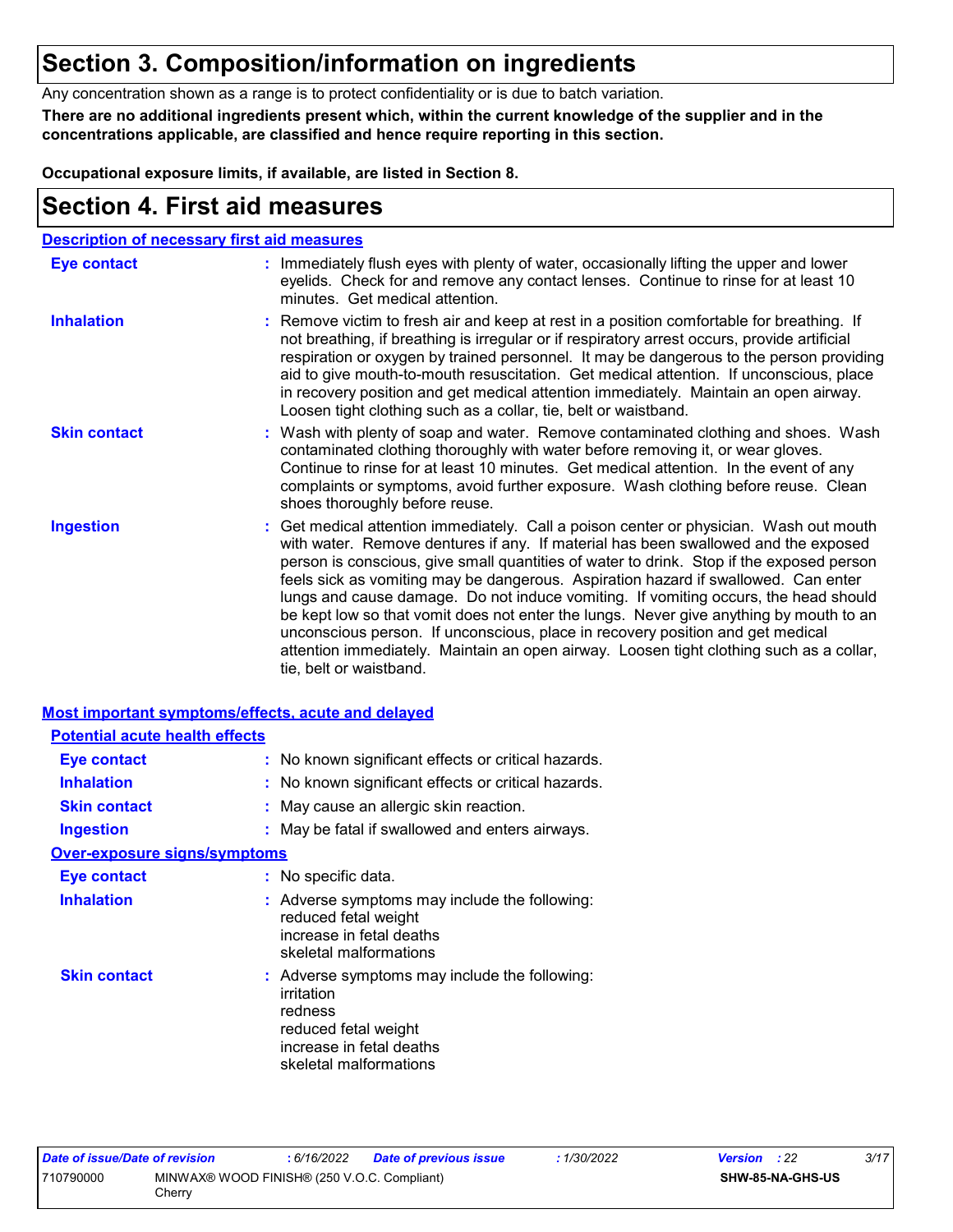## **Section 3. Composition/information on ingredients**

Any concentration shown as a range is to protect confidentiality or is due to batch variation.

**There are no additional ingredients present which, within the current knowledge of the supplier and in the concentrations applicable, are classified and hence require reporting in this section.**

**Occupational exposure limits, if available, are listed in Section 8.**

## **Section 4. First aid measures**

|                     | <b>Description of necessary first aid measures</b>                                                                                                                                                                                                                                                                                                                                                                                                                                                                                                                                                                                                                                                                                                      |
|---------------------|---------------------------------------------------------------------------------------------------------------------------------------------------------------------------------------------------------------------------------------------------------------------------------------------------------------------------------------------------------------------------------------------------------------------------------------------------------------------------------------------------------------------------------------------------------------------------------------------------------------------------------------------------------------------------------------------------------------------------------------------------------|
| <b>Eye contact</b>  | : Immediately flush eyes with plenty of water, occasionally lifting the upper and lower<br>eyelids. Check for and remove any contact lenses. Continue to rinse for at least 10<br>minutes. Get medical attention.                                                                                                                                                                                                                                                                                                                                                                                                                                                                                                                                       |
| <b>Inhalation</b>   | : Remove victim to fresh air and keep at rest in a position comfortable for breathing. If<br>not breathing, if breathing is irregular or if respiratory arrest occurs, provide artificial<br>respiration or oxygen by trained personnel. It may be dangerous to the person providing<br>aid to give mouth-to-mouth resuscitation. Get medical attention. If unconscious, place<br>in recovery position and get medical attention immediately. Maintain an open airway.<br>Loosen tight clothing such as a collar, tie, belt or waistband.                                                                                                                                                                                                               |
| <b>Skin contact</b> | : Wash with plenty of soap and water. Remove contaminated clothing and shoes. Wash<br>contaminated clothing thoroughly with water before removing it, or wear gloves.<br>Continue to rinse for at least 10 minutes. Get medical attention. In the event of any<br>complaints or symptoms, avoid further exposure. Wash clothing before reuse. Clean<br>shoes thoroughly before reuse.                                                                                                                                                                                                                                                                                                                                                                   |
| <b>Ingestion</b>    | : Get medical attention immediately. Call a poison center or physician. Wash out mouth<br>with water. Remove dentures if any. If material has been swallowed and the exposed<br>person is conscious, give small quantities of water to drink. Stop if the exposed person<br>feels sick as vomiting may be dangerous. Aspiration hazard if swallowed. Can enter<br>lungs and cause damage. Do not induce vomiting. If vomiting occurs, the head should<br>be kept low so that vomit does not enter the lungs. Never give anything by mouth to an<br>unconscious person. If unconscious, place in recovery position and get medical<br>attention immediately. Maintain an open airway. Loosen tight clothing such as a collar,<br>tie, belt or waistband. |

#### **Most important symptoms/effects, acute and delayed Potential acute health effects**

| Potential acute nealth effects      |                                                                                                                                                      |
|-------------------------------------|------------------------------------------------------------------------------------------------------------------------------------------------------|
| Eye contact                         | : No known significant effects or critical hazards.                                                                                                  |
| <b>Inhalation</b>                   | : No known significant effects or critical hazards.                                                                                                  |
| <b>Skin contact</b>                 | : May cause an allergic skin reaction.                                                                                                               |
| <b>Ingestion</b>                    | : May be fatal if swallowed and enters airways.                                                                                                      |
| <b>Over-exposure signs/symptoms</b> |                                                                                                                                                      |
| Eye contact                         | : No specific data.                                                                                                                                  |
| <b>Inhalation</b>                   | : Adverse symptoms may include the following:<br>reduced fetal weight<br>increase in fetal deaths<br>skeletal malformations                          |
| <b>Skin contact</b>                 | : Adverse symptoms may include the following:<br>irritation<br>redness<br>reduced fetal weight<br>increase in fetal deaths<br>skeletal malformations |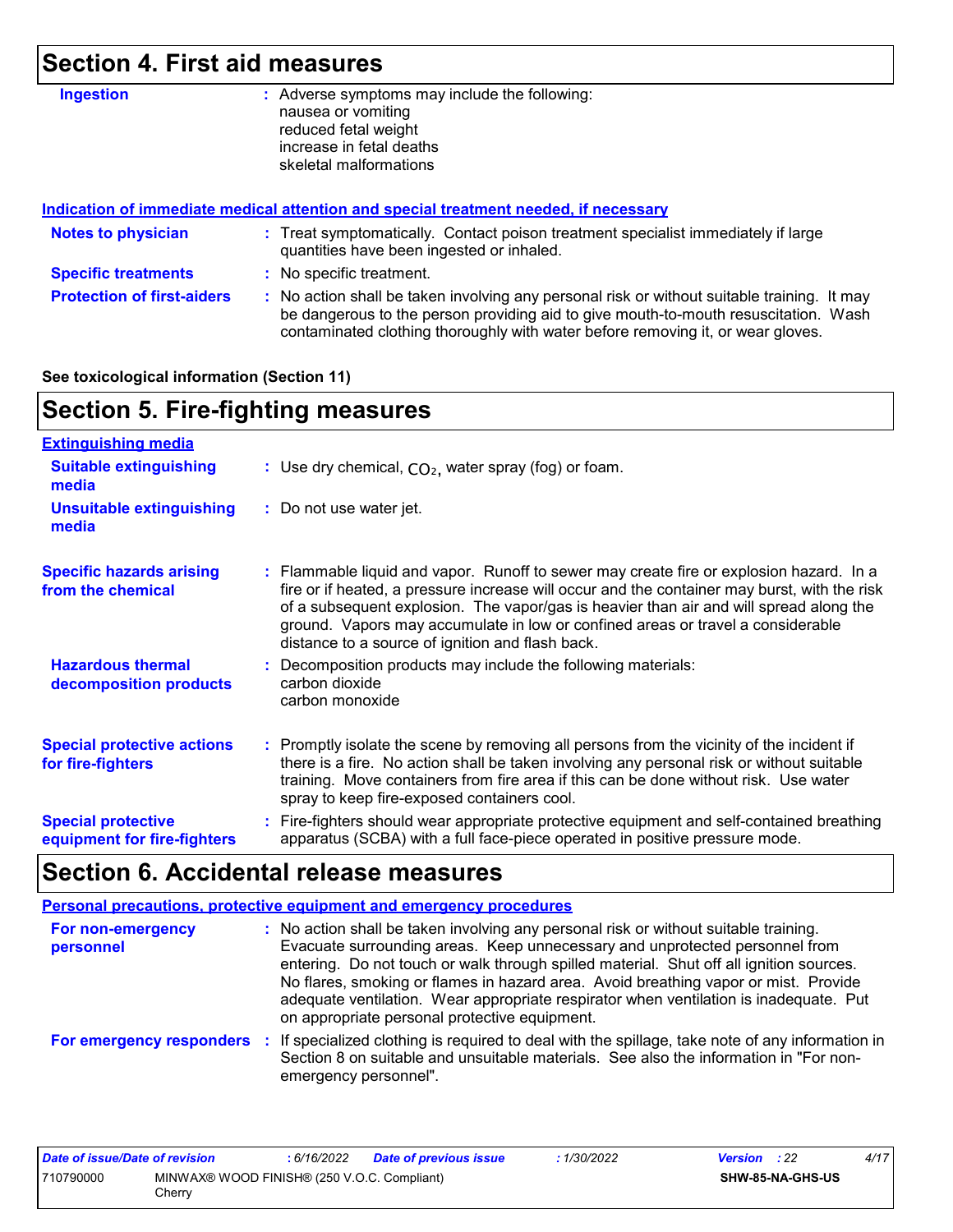# **Section 4. First aid measures**

| <b>Ingestion</b>                  | Adverse symptoms may include the following:<br>÷.<br>nausea or vomiting<br>reduced fetal weight<br>increase in fetal deaths                                                                                                                                           |
|-----------------------------------|-----------------------------------------------------------------------------------------------------------------------------------------------------------------------------------------------------------------------------------------------------------------------|
|                                   | skeletal malformations                                                                                                                                                                                                                                                |
|                                   | Indication of immediate medical attention and special treatment needed, if necessary                                                                                                                                                                                  |
| <b>Notes to physician</b>         | : Treat symptomatically. Contact poison treatment specialist immediately if large<br>quantities have been ingested or inhaled.                                                                                                                                        |
| <b>Specific treatments</b>        | : No specific treatment.                                                                                                                                                                                                                                              |
| <b>Protection of first-aiders</b> | : No action shall be taken involving any personal risk or without suitable training. It may<br>be dangerous to the person providing aid to give mouth-to-mouth resuscitation. Wash<br>contaminated clothing thoroughly with water before removing it, or wear gloves. |

#### **See toxicological information (Section 11)**

# **Section 5. Fire-fighting measures**

| <b>Extinguishing media</b>                               |                                                                                                                                                                                                                                                                                                                                                                                                                          |
|----------------------------------------------------------|--------------------------------------------------------------------------------------------------------------------------------------------------------------------------------------------------------------------------------------------------------------------------------------------------------------------------------------------------------------------------------------------------------------------------|
| <b>Suitable extinguishing</b><br>media                   | : Use dry chemical, $CO2$ , water spray (fog) or foam.                                                                                                                                                                                                                                                                                                                                                                   |
| <b>Unsuitable extinguishing</b><br>media                 | : Do not use water jet.                                                                                                                                                                                                                                                                                                                                                                                                  |
| <b>Specific hazards arising</b><br>from the chemical     | : Flammable liquid and vapor. Runoff to sewer may create fire or explosion hazard. In a<br>fire or if heated, a pressure increase will occur and the container may burst, with the risk<br>of a subsequent explosion. The vapor/gas is heavier than air and will spread along the<br>ground. Vapors may accumulate in low or confined areas or travel a considerable<br>distance to a source of ignition and flash back. |
| <b>Hazardous thermal</b><br>decomposition products       | Decomposition products may include the following materials:<br>carbon dioxide<br>carbon monoxide                                                                                                                                                                                                                                                                                                                         |
| <b>Special protective actions</b><br>for fire-fighters   | : Promptly isolate the scene by removing all persons from the vicinity of the incident if<br>there is a fire. No action shall be taken involving any personal risk or without suitable<br>training. Move containers from fire area if this can be done without risk. Use water<br>spray to keep fire-exposed containers cool.                                                                                            |
| <b>Special protective</b><br>equipment for fire-fighters | : Fire-fighters should wear appropriate protective equipment and self-contained breathing<br>apparatus (SCBA) with a full face-piece operated in positive pressure mode.                                                                                                                                                                                                                                                 |

# **Section 6. Accidental release measures**

|                                | <b>Personal precautions, protective equipment and emergency procedures</b>                                                                                                                                                                                                                                                                                                                                                                                                                      |
|--------------------------------|-------------------------------------------------------------------------------------------------------------------------------------------------------------------------------------------------------------------------------------------------------------------------------------------------------------------------------------------------------------------------------------------------------------------------------------------------------------------------------------------------|
| For non-emergency<br>personnel | : No action shall be taken involving any personal risk or without suitable training.<br>Evacuate surrounding areas. Keep unnecessary and unprotected personnel from<br>entering. Do not touch or walk through spilled material. Shut off all ignition sources.<br>No flares, smoking or flames in hazard area. Avoid breathing vapor or mist. Provide<br>adequate ventilation. Wear appropriate respirator when ventilation is inadequate. Put<br>on appropriate personal protective equipment. |
|                                | For emergency responders : If specialized clothing is required to deal with the spillage, take note of any information in<br>Section 8 on suitable and unsuitable materials. See also the information in "For non-<br>emergency personnel".                                                                                                                                                                                                                                                     |

| Date of issue/Date of revision |                                                       | 6/16/2022 | <b>Date of previous issue</b> | 1/30/2022 | <b>Version</b> : 22 |                         | 4/17 |
|--------------------------------|-------------------------------------------------------|-----------|-------------------------------|-----------|---------------------|-------------------------|------|
| 710790000                      | MINWAX® WOOD FINISH® (250 V.O.C. Compliant)<br>Cherrv |           |                               |           |                     | <b>SHW-85-NA-GHS-US</b> |      |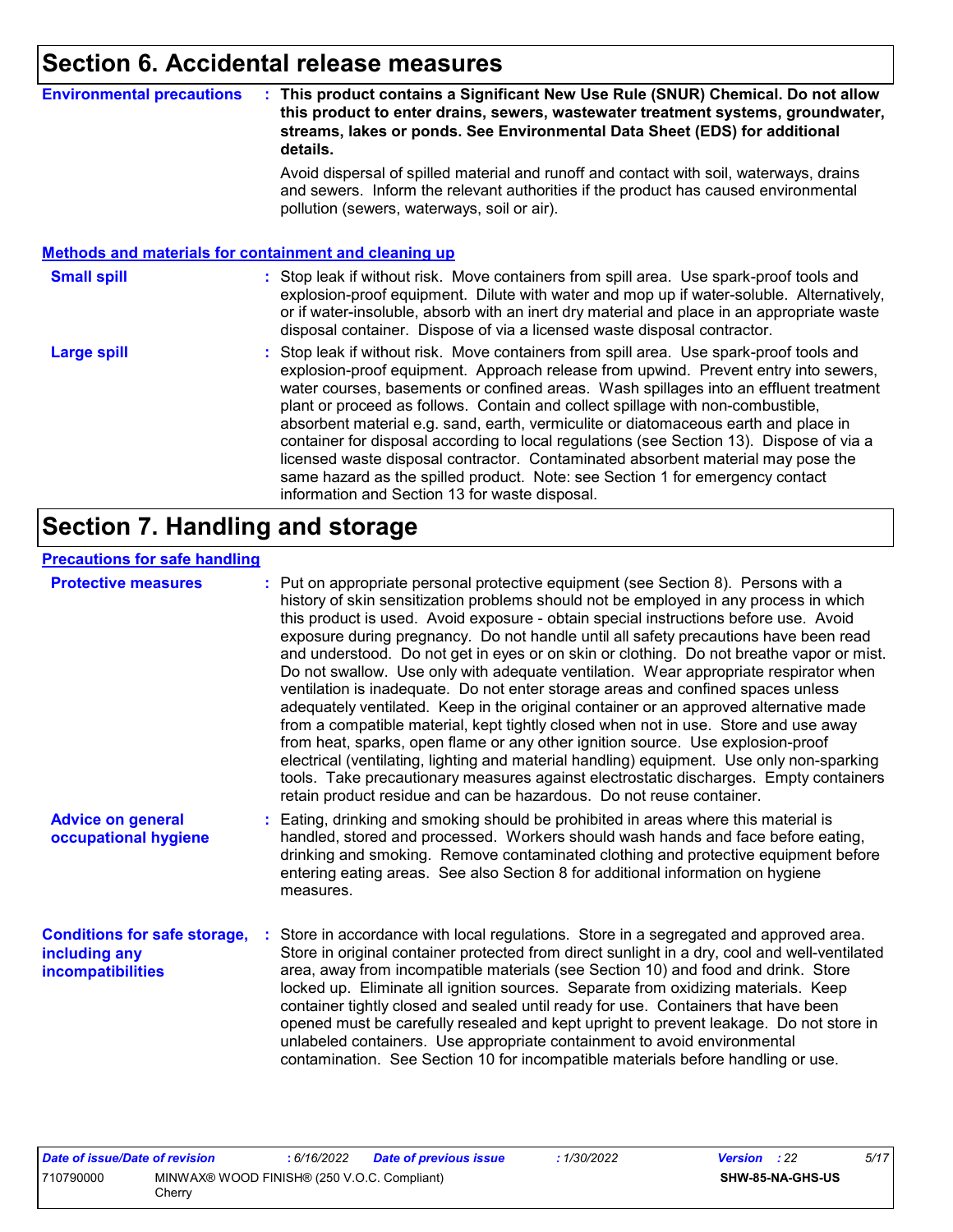### **Section 6. Accidental release measures**

#### **Environmental precautions : This product contains a Significant New Use Rule (SNUR) Chemical. Do not allow this product to enter drains, sewers, wastewater treatment systems, groundwater, streams, lakes or ponds. See Environmental Data Sheet (EDS) for additional details.**

Avoid dispersal of spilled material and runoff and contact with soil, waterways, drains and sewers. Inform the relevant authorities if the product has caused environmental pollution (sewers, waterways, soil or air).

#### **Methods and materials for containment and cleaning up**

#### : Stop leak if without risk. Move containers from spill area. Use spark-proof tools and explosion-proof equipment. Dilute with water and mop up if water-soluble. Alternatively, or if water-insoluble, absorb with an inert dry material and place in an appropriate waste disposal container. Dispose of via a licensed waste disposal contractor. **Small spill :**

Stop leak if without risk. Move containers from spill area. Use spark-proof tools and explosion-proof equipment. Approach release from upwind. Prevent entry into sewers, water courses, basements or confined areas. Wash spillages into an effluent treatment plant or proceed as follows. Contain and collect spillage with non-combustible, absorbent material e.g. sand, earth, vermiculite or diatomaceous earth and place in container for disposal according to local regulations (see Section 13). Dispose of via a licensed waste disposal contractor. Contaminated absorbent material may pose the same hazard as the spilled product. Note: see Section 1 for emergency contact information and Section 13 for waste disposal. **Large spill :**

### **Section 7. Handling and storage**

#### **Precautions for safe handling**

| <b>Protective measures</b>                                                       | : Put on appropriate personal protective equipment (see Section 8). Persons with a<br>history of skin sensitization problems should not be employed in any process in which<br>this product is used. Avoid exposure - obtain special instructions before use. Avoid<br>exposure during pregnancy. Do not handle until all safety precautions have been read<br>and understood. Do not get in eyes or on skin or clothing. Do not breathe vapor or mist.<br>Do not swallow. Use only with adequate ventilation. Wear appropriate respirator when<br>ventilation is inadequate. Do not enter storage areas and confined spaces unless<br>adequately ventilated. Keep in the original container or an approved alternative made<br>from a compatible material, kept tightly closed when not in use. Store and use away<br>from heat, sparks, open flame or any other ignition source. Use explosion-proof<br>electrical (ventilating, lighting and material handling) equipment. Use only non-sparking<br>tools. Take precautionary measures against electrostatic discharges. Empty containers<br>retain product residue and can be hazardous. Do not reuse container. |
|----------------------------------------------------------------------------------|----------------------------------------------------------------------------------------------------------------------------------------------------------------------------------------------------------------------------------------------------------------------------------------------------------------------------------------------------------------------------------------------------------------------------------------------------------------------------------------------------------------------------------------------------------------------------------------------------------------------------------------------------------------------------------------------------------------------------------------------------------------------------------------------------------------------------------------------------------------------------------------------------------------------------------------------------------------------------------------------------------------------------------------------------------------------------------------------------------------------------------------------------------------------|
| <b>Advice on general</b><br>occupational hygiene                                 | : Eating, drinking and smoking should be prohibited in areas where this material is<br>handled, stored and processed. Workers should wash hands and face before eating,<br>drinking and smoking. Remove contaminated clothing and protective equipment before<br>entering eating areas. See also Section 8 for additional information on hygiene<br>measures.                                                                                                                                                                                                                                                                                                                                                                                                                                                                                                                                                                                                                                                                                                                                                                                                        |
| <b>Conditions for safe storage,</b><br>including any<br><b>incompatibilities</b> | Store in accordance with local regulations. Store in a segregated and approved area.<br>Store in original container protected from direct sunlight in a dry, cool and well-ventilated<br>area, away from incompatible materials (see Section 10) and food and drink. Store<br>locked up. Eliminate all ignition sources. Separate from oxidizing materials. Keep<br>container tightly closed and sealed until ready for use. Containers that have been<br>opened must be carefully resealed and kept upright to prevent leakage. Do not store in<br>unlabeled containers. Use appropriate containment to avoid environmental<br>contamination. See Section 10 for incompatible materials before handling or use.                                                                                                                                                                                                                                                                                                                                                                                                                                                     |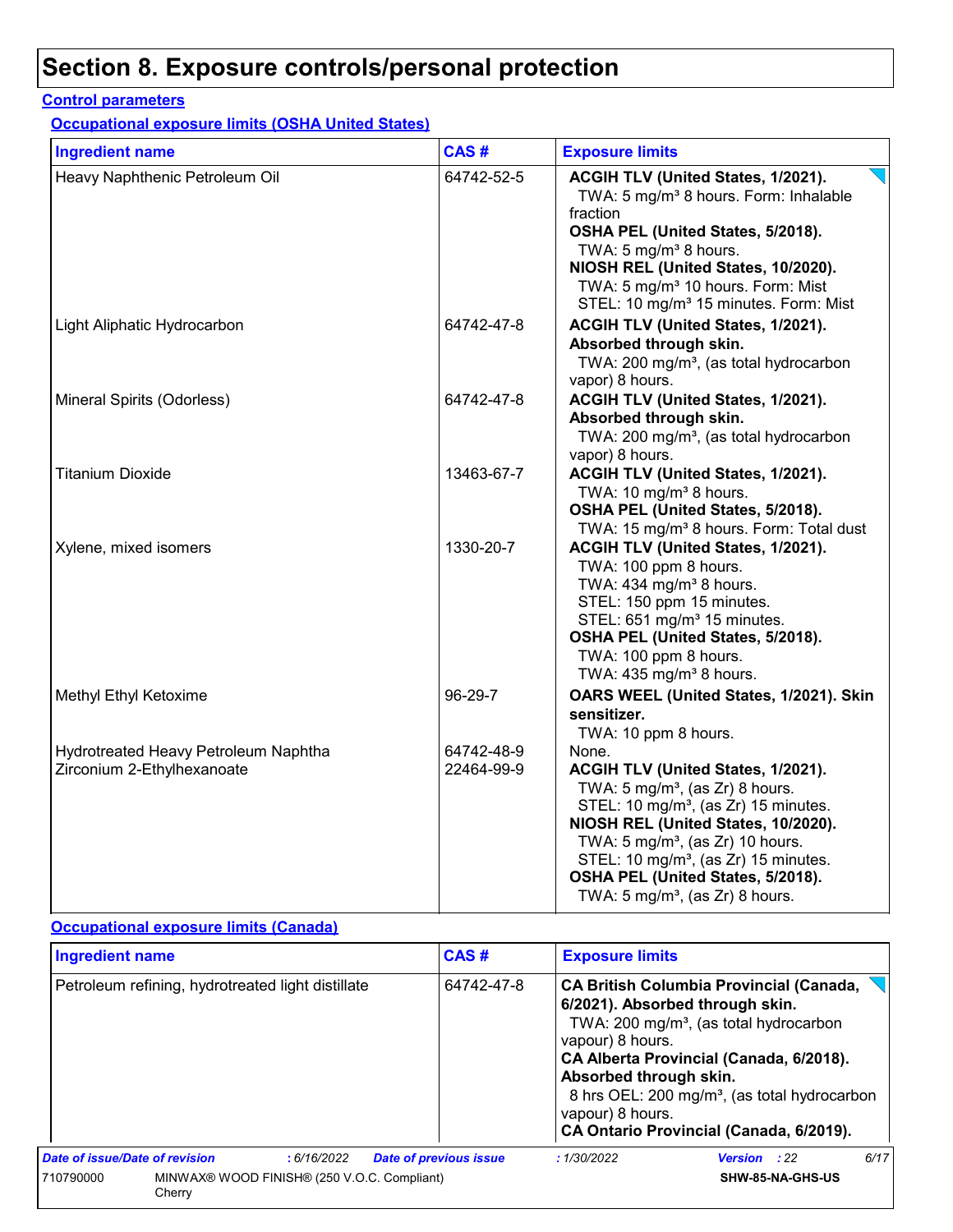#### **Control parameters**

**Occupational exposure limits (OSHA United States)**

| <b>Ingredient name</b>                                             | CAS#                     | <b>Exposure limits</b>                                                                                                                                                                                                                                                                                                                                                     |
|--------------------------------------------------------------------|--------------------------|----------------------------------------------------------------------------------------------------------------------------------------------------------------------------------------------------------------------------------------------------------------------------------------------------------------------------------------------------------------------------|
| Heavy Naphthenic Petroleum Oil                                     | 64742-52-5               | ACGIH TLV (United States, 1/2021).<br>TWA: 5 mg/m <sup>3</sup> 8 hours. Form: Inhalable<br>fraction<br>OSHA PEL (United States, 5/2018).<br>TWA: 5 mg/m <sup>3</sup> 8 hours.<br>NIOSH REL (United States, 10/2020).<br>TWA: 5 mg/m <sup>3</sup> 10 hours. Form: Mist<br>STEL: 10 mg/m <sup>3</sup> 15 minutes. Form: Mist                                                 |
| Light Aliphatic Hydrocarbon                                        | 64742-47-8               | ACGIH TLV (United States, 1/2021).<br>Absorbed through skin.<br>TWA: 200 mg/m <sup>3</sup> , (as total hydrocarbon<br>vapor) 8 hours.                                                                                                                                                                                                                                      |
| Mineral Spirits (Odorless)                                         | 64742-47-8               | ACGIH TLV (United States, 1/2021).<br>Absorbed through skin.<br>TWA: 200 mg/m <sup>3</sup> , (as total hydrocarbon<br>vapor) 8 hours.                                                                                                                                                                                                                                      |
| <b>Titanium Dioxide</b>                                            | 13463-67-7               | ACGIH TLV (United States, 1/2021).<br>TWA: 10 mg/m <sup>3</sup> 8 hours.<br>OSHA PEL (United States, 5/2018).<br>TWA: 15 mg/m <sup>3</sup> 8 hours. Form: Total dust                                                                                                                                                                                                       |
| Xylene, mixed isomers                                              | 1330-20-7                | ACGIH TLV (United States, 1/2021).<br>TWA: 100 ppm 8 hours.<br>TWA: 434 mg/m <sup>3</sup> 8 hours.<br>STEL: 150 ppm 15 minutes.<br>STEL: 651 mg/m <sup>3</sup> 15 minutes.<br>OSHA PEL (United States, 5/2018).<br>TWA: 100 ppm 8 hours.<br>TWA: $435 \text{ mg/m}^3$ 8 hours.                                                                                             |
| Methyl Ethyl Ketoxime                                              | 96-29-7                  | OARS WEEL (United States, 1/2021). Skin<br>sensitizer.<br>TWA: 10 ppm 8 hours.                                                                                                                                                                                                                                                                                             |
| Hydrotreated Heavy Petroleum Naphtha<br>Zirconium 2-Ethylhexanoate | 64742-48-9<br>22464-99-9 | None.<br>ACGIH TLV (United States, 1/2021).<br>TWA: $5 \text{ mg/m}^3$ , (as Zr) 8 hours.<br>STEL: 10 mg/m <sup>3</sup> , (as Zr) 15 minutes.<br>NIOSH REL (United States, 10/2020).<br>TWA: $5 \text{ mg/m}^3$ , (as Zr) 10 hours.<br>STEL: 10 mg/m <sup>3</sup> , (as Zr) 15 minutes.<br>OSHA PEL (United States, 5/2018).<br>TWA: $5 \text{ mg/m}^3$ , (as Zr) 8 hours. |

### **Occupational exposure limits (Canada)**

| <b>Ingredient name</b>         |                                                       |            |                               | CAS#       | <b>Exposure limits</b>                                                                                                                                                                                                                    |                                                                                                                |                  |      |
|--------------------------------|-------------------------------------------------------|------------|-------------------------------|------------|-------------------------------------------------------------------------------------------------------------------------------------------------------------------------------------------------------------------------------------------|----------------------------------------------------------------------------------------------------------------|------------------|------|
|                                | Petroleum refining, hydrotreated light distillate     |            |                               | 64742-47-8 | <b>CA British Columbia Provincial (Canada,</b><br>6/2021). Absorbed through skin.<br>vapour) 8 hours.<br>CA Alberta Provincial (Canada, 6/2018).<br>Absorbed through skin.<br>vapour) 8 hours.<br>CA Ontario Provincial (Canada, 6/2019). | TWA: 200 mg/m <sup>3</sup> , (as total hydrocarbon<br>8 hrs OEL: 200 mg/m <sup>3</sup> , (as total hydrocarbon |                  |      |
| Date of issue/Date of revision |                                                       | :6/16/2022 | <b>Date of previous issue</b> |            | :1/30/2022                                                                                                                                                                                                                                | <b>Version</b> : 22                                                                                            |                  | 6/17 |
| 710790000                      | MINWAX® WOOD FINISH® (250 V.O.C. Compliant)<br>Cherry |            |                               |            |                                                                                                                                                                                                                                           |                                                                                                                | SHW-85-NA-GHS-US |      |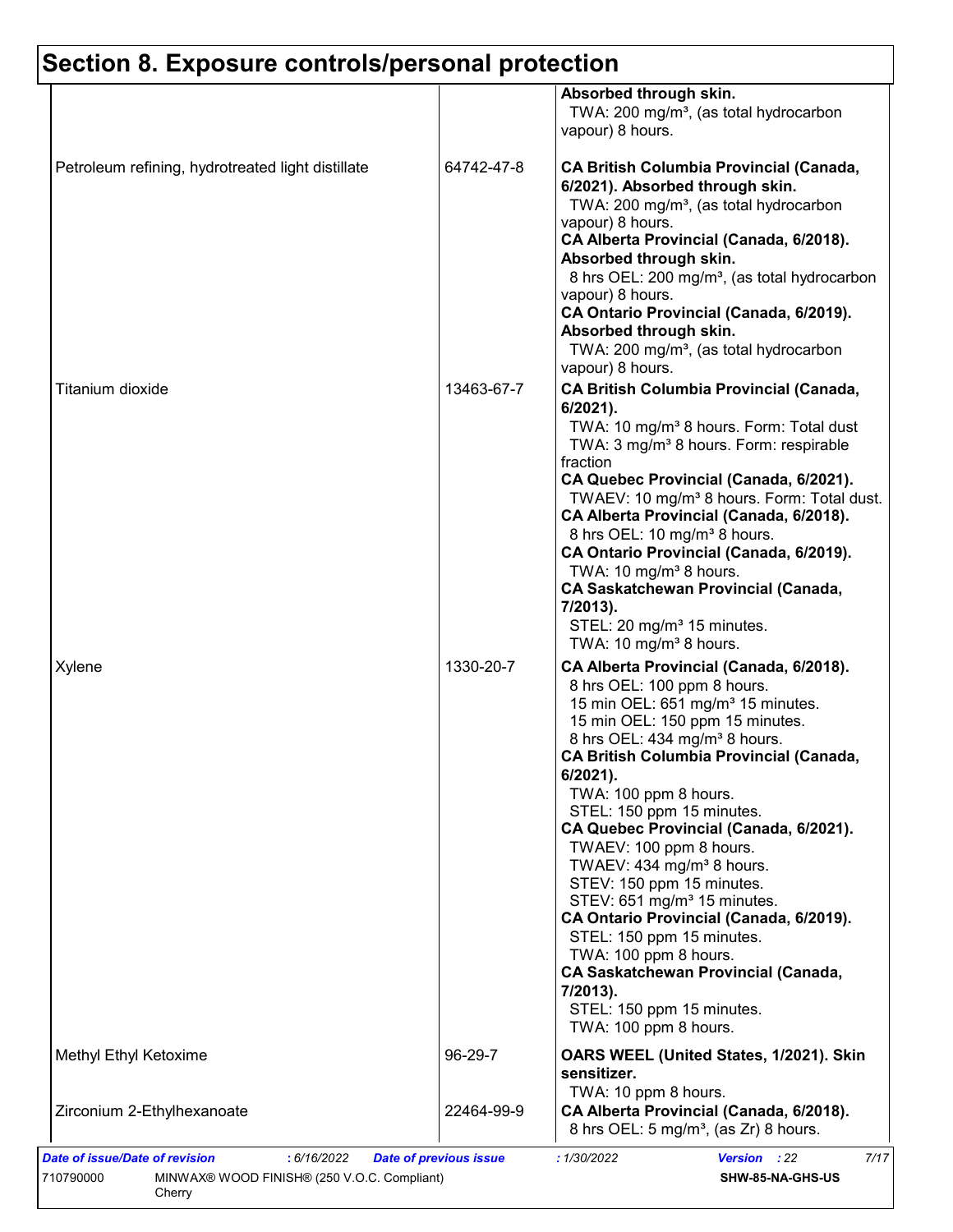|                                                   |            | Absorbed through skin.<br>TWA: 200 mg/m <sup>3</sup> , (as total hydrocarbon<br>vapour) 8 hours.                                                                                                                                                                                                                                                                                                                                                                                                                                                                                                                                                                                                                                   |
|---------------------------------------------------|------------|------------------------------------------------------------------------------------------------------------------------------------------------------------------------------------------------------------------------------------------------------------------------------------------------------------------------------------------------------------------------------------------------------------------------------------------------------------------------------------------------------------------------------------------------------------------------------------------------------------------------------------------------------------------------------------------------------------------------------------|
| Petroleum refining, hydrotreated light distillate | 64742-47-8 | <b>CA British Columbia Provincial (Canada,</b><br>6/2021). Absorbed through skin.<br>TWA: 200 mg/m <sup>3</sup> , (as total hydrocarbon<br>vapour) 8 hours.<br>CA Alberta Provincial (Canada, 6/2018).<br>Absorbed through skin.<br>8 hrs OEL: 200 mg/m <sup>3</sup> , (as total hydrocarbon<br>vapour) 8 hours.<br>CA Ontario Provincial (Canada, 6/2019).<br>Absorbed through skin.<br>TWA: 200 mg/m <sup>3</sup> , (as total hydrocarbon                                                                                                                                                                                                                                                                                        |
| Titanium dioxide                                  | 13463-67-7 | vapour) 8 hours.<br><b>CA British Columbia Provincial (Canada,</b><br>$6/2021$ ).<br>TWA: 10 mg/m <sup>3</sup> 8 hours. Form: Total dust<br>TWA: 3 mg/m <sup>3</sup> 8 hours. Form: respirable<br>fraction<br>CA Quebec Provincial (Canada, 6/2021).<br>TWAEV: 10 mg/m <sup>3</sup> 8 hours. Form: Total dust.<br>CA Alberta Provincial (Canada, 6/2018).<br>8 hrs OEL: 10 mg/m <sup>3</sup> 8 hours.<br>CA Ontario Provincial (Canada, 6/2019).<br>TWA: 10 mg/m <sup>3</sup> 8 hours.<br><b>CA Saskatchewan Provincial (Canada,</b><br>7/2013).<br>STEL: 20 mg/m <sup>3</sup> 15 minutes.<br>TWA: 10 mg/m <sup>3</sup> 8 hours.                                                                                                   |
| Xylene                                            | 1330-20-7  | CA Alberta Provincial (Canada, 6/2018).<br>8 hrs OEL: 100 ppm 8 hours.<br>15 min OEL: 651 mg/m <sup>3</sup> 15 minutes.<br>15 min OEL: 150 ppm 15 minutes.<br>8 hrs OEL: 434 mg/m <sup>3</sup> 8 hours.<br><b>CA British Columbia Provincial (Canada,</b><br>6/2021).<br>TWA: 100 ppm 8 hours.<br>STEL: 150 ppm 15 minutes.<br>CA Quebec Provincial (Canada, 6/2021).<br>TWAEV: 100 ppm 8 hours.<br>TWAEV: 434 mg/m <sup>3</sup> 8 hours.<br>STEV: 150 ppm 15 minutes.<br>STEV: 651 mg/m <sup>3</sup> 15 minutes.<br>CA Ontario Provincial (Canada, 6/2019).<br>STEL: 150 ppm 15 minutes.<br>TWA: 100 ppm 8 hours.<br><b>CA Saskatchewan Provincial (Canada,</b><br>7/2013).<br>STEL: 150 ppm 15 minutes.<br>TWA: 100 ppm 8 hours. |
| Methyl Ethyl Ketoxime                             | 96-29-7    | OARS WEEL (United States, 1/2021). Skin<br>sensitizer.                                                                                                                                                                                                                                                                                                                                                                                                                                                                                                                                                                                                                                                                             |
| Zirconium 2-Ethylhexanoate                        | 22464-99-9 | TWA: 10 ppm 8 hours.<br>CA Alberta Provincial (Canada, 6/2018).<br>8 hrs OEL: 5 mg/m <sup>3</sup> , (as Zr) 8 hours.                                                                                                                                                                                                                                                                                                                                                                                                                                                                                                                                                                                                               |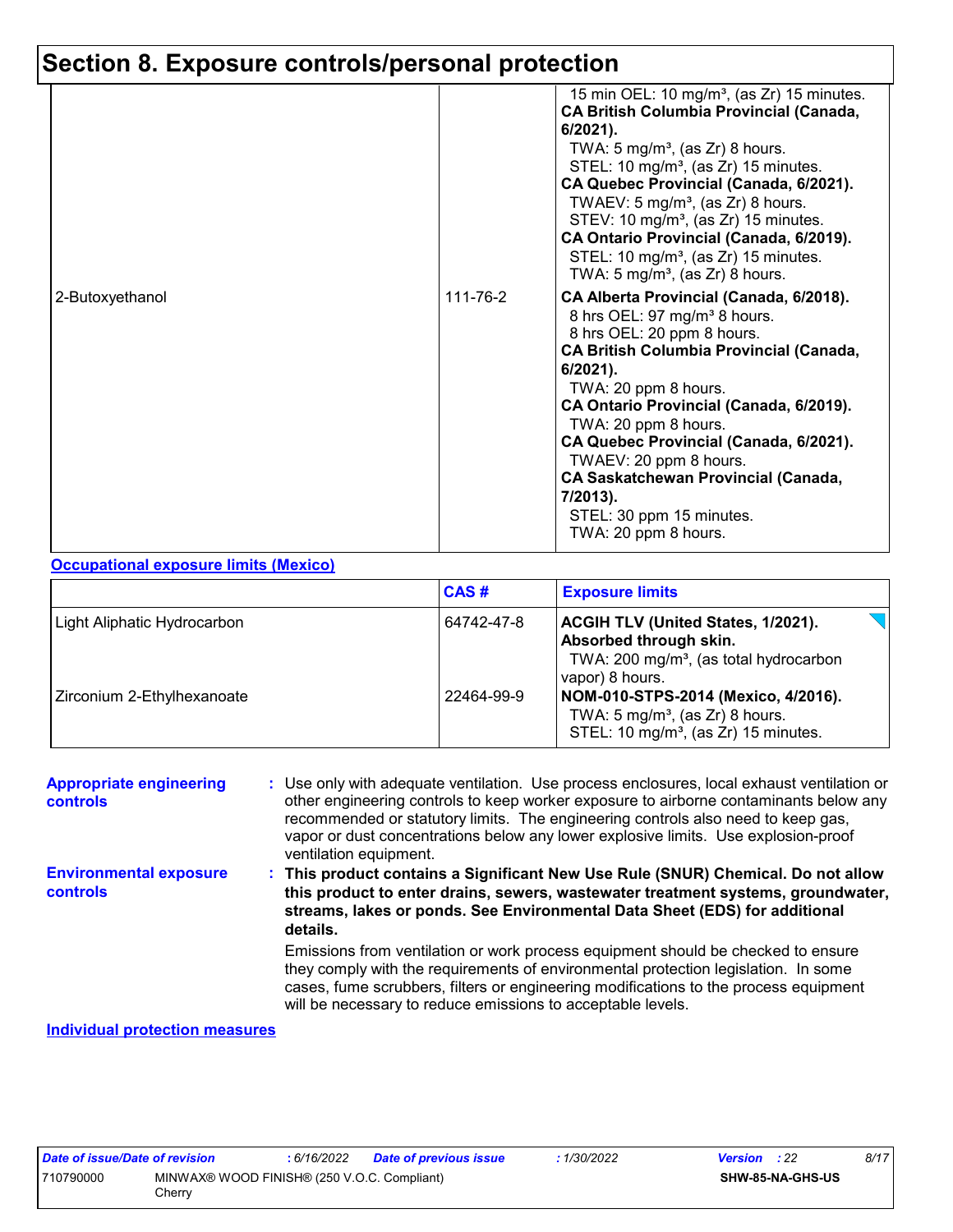|                 |          | 15 min OEL: 10 mg/m <sup>3</sup> , (as Zr) 15 minutes.<br><b>CA British Columbia Provincial (Canada,</b><br>$6/2021$ ).<br>TWA: $5 \text{ mg/m}^3$ , (as Zr) 8 hours.<br>STEL: 10 mg/m <sup>3</sup> , (as Zr) 15 minutes.<br>CA Quebec Provincial (Canada, 6/2021).<br>TWAEV: $5 \text{ mg/m}^3$ , (as Zr) 8 hours.<br>STEV: 10 mg/m <sup>3</sup> , (as Zr) 15 minutes.<br>CA Ontario Provincial (Canada, 6/2019).<br>STEL: 10 mg/m <sup>3</sup> , (as Zr) 15 minutes.<br>TWA: 5 mg/m <sup>3</sup> , (as Zr) 8 hours. |
|-----------------|----------|-----------------------------------------------------------------------------------------------------------------------------------------------------------------------------------------------------------------------------------------------------------------------------------------------------------------------------------------------------------------------------------------------------------------------------------------------------------------------------------------------------------------------|
| 2-Butoxyethanol | 111-76-2 | CA Alberta Provincial (Canada, 6/2018).<br>8 hrs OEL: 97 mg/m <sup>3</sup> 8 hours.<br>8 hrs OEL: 20 ppm 8 hours.<br><b>CA British Columbia Provincial (Canada,</b><br>$6/2021$ ).<br>TWA: 20 ppm 8 hours.<br>CA Ontario Provincial (Canada, 6/2019).<br>TWA: 20 ppm 8 hours.<br>CA Quebec Provincial (Canada, 6/2021).<br>TWAEV: 20 ppm 8 hours.<br><b>CA Saskatchewan Provincial (Canada,</b><br>$7/2013$ ).<br>STEL: 30 ppm 15 minutes.<br>TWA: 20 ppm 8 hours.                                                    |

#### **Occupational exposure limits (Mexico)**

|                             | CAS#       | <b>Exposure limits</b>                                                                                                                       |
|-----------------------------|------------|----------------------------------------------------------------------------------------------------------------------------------------------|
| Light Aliphatic Hydrocarbon | 64742-47-8 | <b>ACGIH TLV (United States, 1/2021).</b><br>Absorbed through skin.<br>TWA: 200 mg/m <sup>3</sup> , (as total hydrocarbon<br>vapor) 8 hours. |
| Zirconium 2-Ethylhexanoate  | 22464-99-9 | NOM-010-STPS-2014 (Mexico, 4/2016).<br>TWA: $5 \text{ mg/m}^3$ , (as Zr) 8 hours.<br>STEL: 10 mg/m <sup>3</sup> , (as Zr) 15 minutes.        |

| <b>Appropriate engineering</b><br>controls          | : Use only with adequate ventilation. Use process enclosures, local exhaust ventilation or<br>other engineering controls to keep worker exposure to airborne contaminants below any<br>recommended or statutory limits. The engineering controls also need to keep gas,<br>vapor or dust concentrations below any lower explosive limits. Use explosion-proof<br>ventilation equipment. |
|-----------------------------------------------------|-----------------------------------------------------------------------------------------------------------------------------------------------------------------------------------------------------------------------------------------------------------------------------------------------------------------------------------------------------------------------------------------|
| <b>Environmental exposure</b><br><b>controls</b>    | This product contains a Significant New Use Rule (SNUR) Chemical. Do not allow<br>this product to enter drains, sewers, wastewater treatment systems, groundwater,<br>streams, lakes or ponds. See Environmental Data Sheet (EDS) for additional<br>details.                                                                                                                            |
|                                                     | Emissions from ventilation or work process equipment should be checked to ensure<br>they comply with the requirements of environmental protection legislation. In some<br>cases, fume scrubbers, filters or engineering modifications to the process equipment<br>will be necessary to reduce emissions to acceptable levels.                                                           |
| والمستحدث والمتحالف والمستحد المتحامل للتلامي المنا |                                                                                                                                                                                                                                                                                                                                                                                         |

#### **Individual protection measures**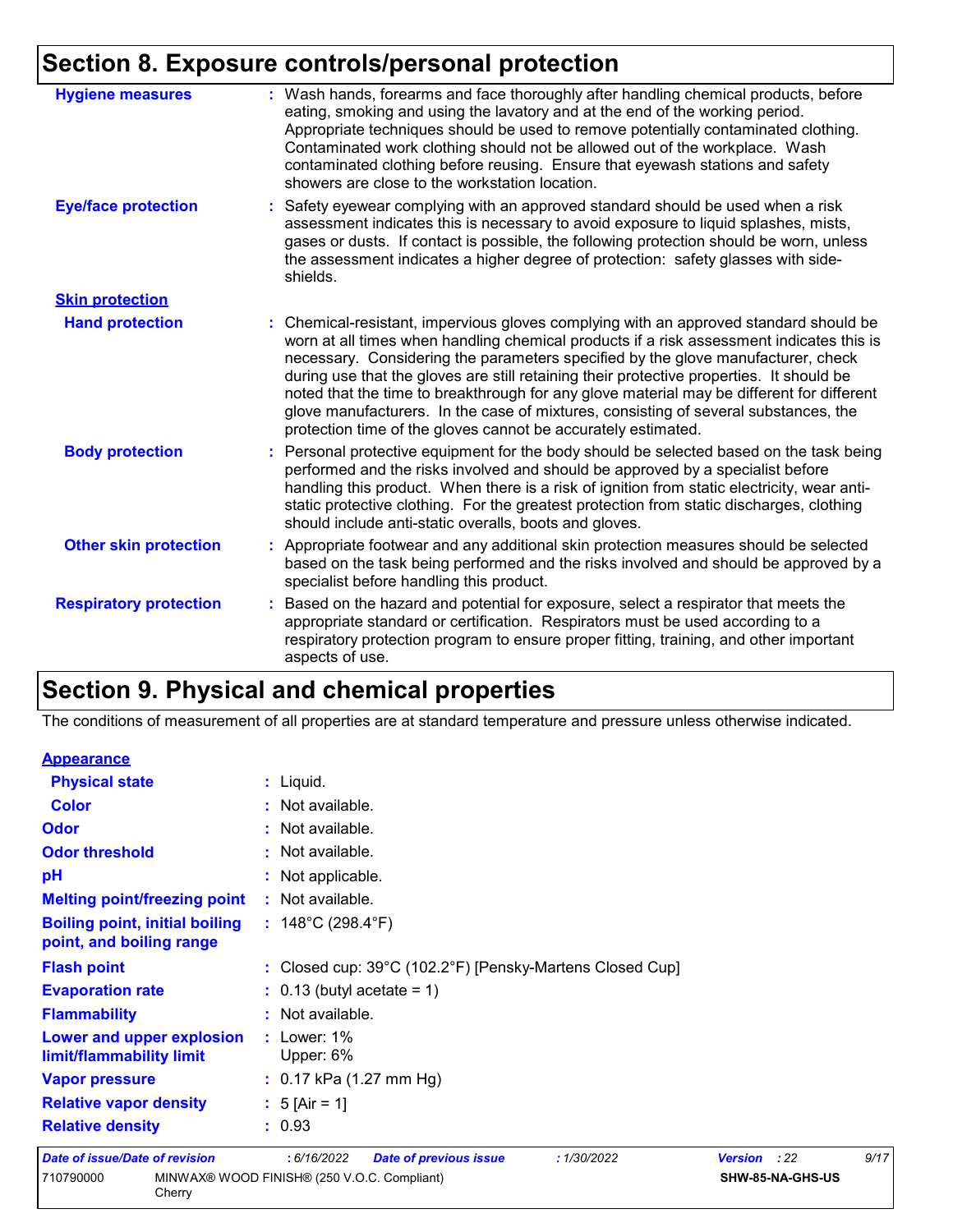| <b>Hygiene measures</b>       | : Wash hands, forearms and face thoroughly after handling chemical products, before<br>eating, smoking and using the lavatory and at the end of the working period.<br>Appropriate techniques should be used to remove potentially contaminated clothing.<br>Contaminated work clothing should not be allowed out of the workplace. Wash<br>contaminated clothing before reusing. Ensure that eyewash stations and safety<br>showers are close to the workstation location.                                                                                                                                            |
|-------------------------------|------------------------------------------------------------------------------------------------------------------------------------------------------------------------------------------------------------------------------------------------------------------------------------------------------------------------------------------------------------------------------------------------------------------------------------------------------------------------------------------------------------------------------------------------------------------------------------------------------------------------|
| <b>Eye/face protection</b>    | : Safety eyewear complying with an approved standard should be used when a risk<br>assessment indicates this is necessary to avoid exposure to liquid splashes, mists,<br>gases or dusts. If contact is possible, the following protection should be worn, unless<br>the assessment indicates a higher degree of protection: safety glasses with side-<br>shields.                                                                                                                                                                                                                                                     |
| <b>Skin protection</b>        |                                                                                                                                                                                                                                                                                                                                                                                                                                                                                                                                                                                                                        |
| <b>Hand protection</b>        | : Chemical-resistant, impervious gloves complying with an approved standard should be<br>worn at all times when handling chemical products if a risk assessment indicates this is<br>necessary. Considering the parameters specified by the glove manufacturer, check<br>during use that the gloves are still retaining their protective properties. It should be<br>noted that the time to breakthrough for any glove material may be different for different<br>glove manufacturers. In the case of mixtures, consisting of several substances, the<br>protection time of the gloves cannot be accurately estimated. |
| <b>Body protection</b>        | : Personal protective equipment for the body should be selected based on the task being<br>performed and the risks involved and should be approved by a specialist before<br>handling this product. When there is a risk of ignition from static electricity, wear anti-<br>static protective clothing. For the greatest protection from static discharges, clothing<br>should include anti-static overalls, boots and gloves.                                                                                                                                                                                         |
| <b>Other skin protection</b>  | : Appropriate footwear and any additional skin protection measures should be selected<br>based on the task being performed and the risks involved and should be approved by a<br>specialist before handling this product.                                                                                                                                                                                                                                                                                                                                                                                              |
| <b>Respiratory protection</b> | : Based on the hazard and potential for exposure, select a respirator that meets the<br>appropriate standard or certification. Respirators must be used according to a<br>respiratory protection program to ensure proper fitting, training, and other important<br>aspects of use.                                                                                                                                                                                                                                                                                                                                    |

# **Section 9. Physical and chemical properties**

The conditions of measurement of all properties are at standard temperature and pressure unless otherwise indicated.

| <b>Appearance</b>                                                 |                                                            |                        |      |
|-------------------------------------------------------------------|------------------------------------------------------------|------------------------|------|
| <b>Physical state</b>                                             | : Liquid.                                                  |                        |      |
| <b>Color</b>                                                      | : Not available.                                           |                        |      |
| <b>Odor</b>                                                       | : Not available.                                           |                        |      |
| <b>Odor threshold</b>                                             | : Not available.                                           |                        |      |
| pH                                                                | : Not applicable.                                          |                        |      |
| <b>Melting point/freezing point</b>                               | : Not available.                                           |                        |      |
| <b>Boiling point, initial boiling</b><br>point, and boiling range | : $148^{\circ}$ C (298.4 $^{\circ}$ F)                     |                        |      |
| <b>Flash point</b>                                                | : Closed cup: 39°C (102.2°F) [Pensky-Martens Closed Cup]   |                        |      |
| <b>Evaporation rate</b>                                           | $\therefore$ 0.13 (butyl acetate = 1)                      |                        |      |
| <b>Flammability</b>                                               | : Not available.                                           |                        |      |
| Lower and upper explosion<br>limit/flammability limit             | $:$ Lower: 1%<br>Upper: 6%                                 |                        |      |
| <b>Vapor pressure</b>                                             | $: 0.17$ kPa (1.27 mm Hg)                                  |                        |      |
| <b>Relative vapor density</b>                                     | : $5$ [Air = 1]                                            |                        |      |
| <b>Relative density</b>                                           | : 0.93                                                     |                        |      |
| <b>Date of issue/Date of revision</b>                             | :6/16/2022<br><b>Date of previous issue</b><br>: 1/30/2022 | <b>Version</b><br>: 22 | 9/17 |
| 710790000<br>Cherry                                               | MINWAX® WOOD FINISH® (250 V.O.C. Compliant)                | SHW-85-NA-GHS-US       |      |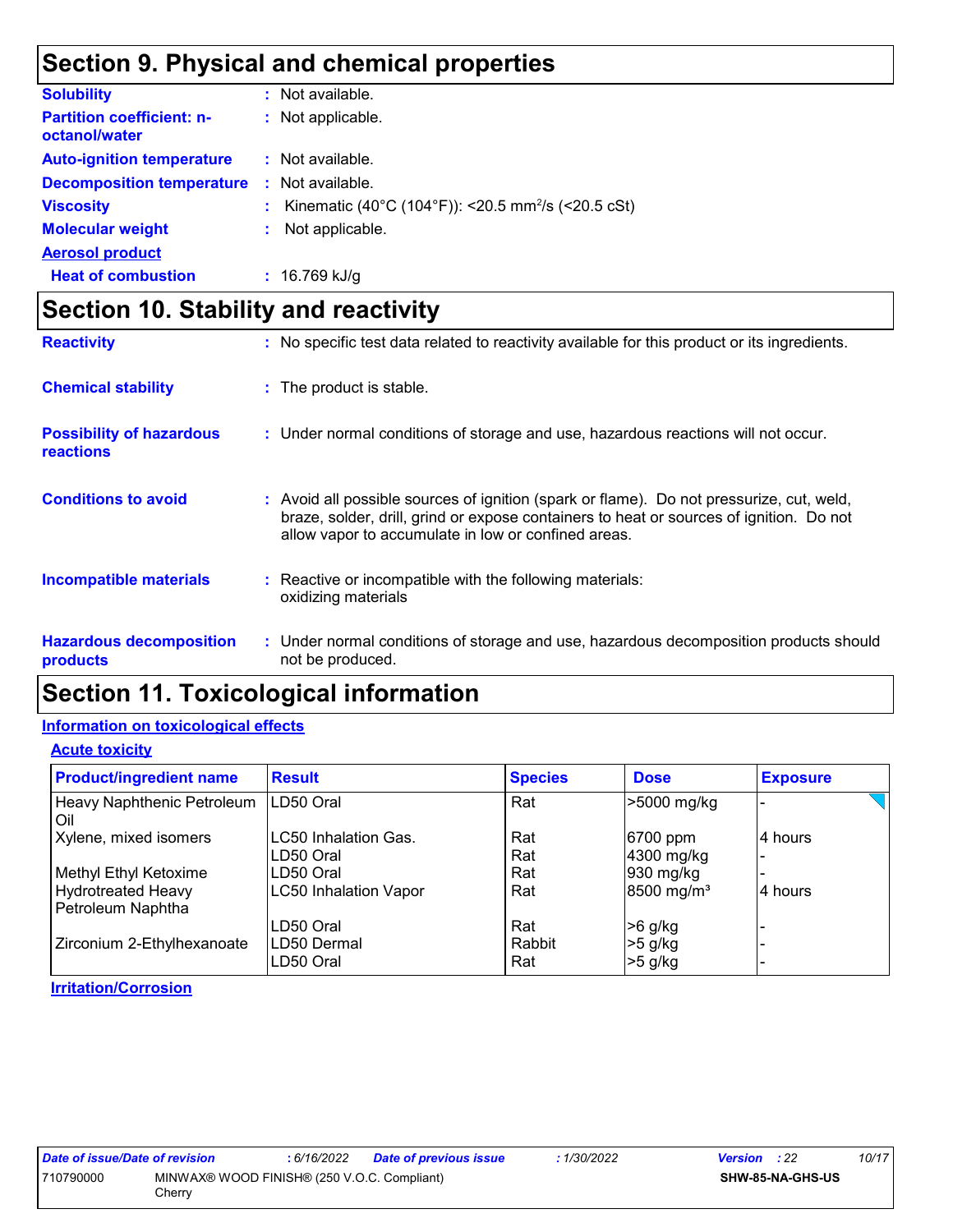# **Section 9. Physical and chemical properties**

| <b>Solubility</b>                                 | : Not available.                                               |
|---------------------------------------------------|----------------------------------------------------------------|
| <b>Partition coefficient: n-</b><br>octanol/water | : Not applicable.                                              |
| <b>Auto-ignition temperature</b>                  | : Not available.                                               |
| <b>Decomposition temperature</b>                  | : Not available.                                               |
| <b>Viscosity</b>                                  | Kinematic (40°C (104°F)): <20.5 mm <sup>2</sup> /s (<20.5 cSt) |
| <b>Molecular weight</b>                           | Not applicable.                                                |
| <b>Aerosol product</b>                            |                                                                |
| <b>Heat of combustion</b>                         | $: 16.769$ kJ/g                                                |

# **Section 10. Stability and reactivity**

| <b>Reactivity</b>                                   | : No specific test data related to reactivity available for this product or its ingredients.                                                                                                                                               |
|-----------------------------------------------------|--------------------------------------------------------------------------------------------------------------------------------------------------------------------------------------------------------------------------------------------|
| <b>Chemical stability</b>                           | : The product is stable.                                                                                                                                                                                                                   |
| <b>Possibility of hazardous</b><br><b>reactions</b> | : Under normal conditions of storage and use, hazardous reactions will not occur.                                                                                                                                                          |
| <b>Conditions to avoid</b>                          | : Avoid all possible sources of ignition (spark or flame). Do not pressurize, cut, weld,<br>braze, solder, drill, grind or expose containers to heat or sources of ignition. Do not<br>allow vapor to accumulate in low or confined areas. |
| <b>Incompatible materials</b>                       | : Reactive or incompatible with the following materials:<br>oxidizing materials                                                                                                                                                            |
| <b>Hazardous decomposition</b><br><b>products</b>   | : Under normal conditions of storage and use, hazardous decomposition products should<br>not be produced.                                                                                                                                  |

## **Section 11. Toxicological information**

#### **Information on toxicological effects**

**Acute toxicity**

| <b>Product/ingredient name</b>                 | <b>Result</b>                | <b>Species</b> | <b>Dose</b>            | <b>Exposure</b> |
|------------------------------------------------|------------------------------|----------------|------------------------|-----------------|
| Heavy Naphthenic Petroleum<br>Oil              | LD50 Oral                    | Rat            | >5000 mg/kg            |                 |
| Xylene, mixed isomers                          | <b>LC50 Inhalation Gas.</b>  | Rat            | 6700 ppm               | 4 hours         |
|                                                | LD50 Oral                    | Rat            | 4300 mg/kg             |                 |
| Methyl Ethyl Ketoxime                          | LD50 Oral                    | Rat            | 930 mg/kg              |                 |
| <b>Hydrotreated Heavy</b><br>Petroleum Naphtha | <b>LC50 Inhalation Vapor</b> | Rat            | 8500 mg/m <sup>3</sup> | 4 hours         |
|                                                | LD50 Oral                    | Rat            | >6 g/kg                |                 |
| Zirconium 2-Ethylhexanoate                     | LD50 Dermal<br>LD50 Oral     | Rabbit<br>Rat  | >5 g/kg<br>$>5$ g/kg   |                 |

#### **Irritation/Corrosion**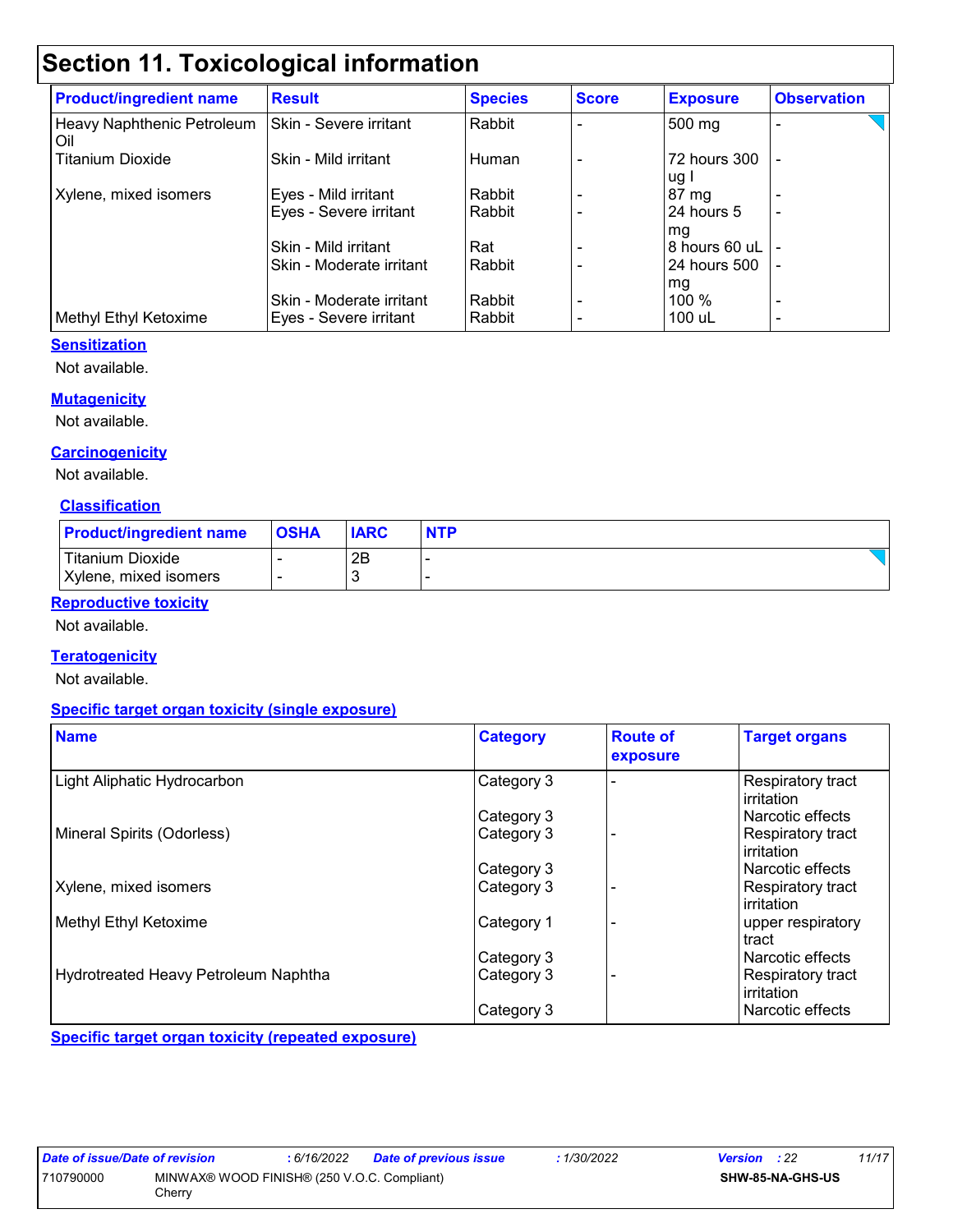# **Section 11. Toxicological information**

| <b>Product/ingredient name</b>    | <b>Result</b>            | <b>Species</b> | <b>Score</b> | <b>Exposure</b>      | <b>Observation</b>       |
|-----------------------------------|--------------------------|----------------|--------------|----------------------|--------------------------|
| Heavy Naphthenic Petroleum<br>Oil | Skin - Severe irritant   | Rabbit         |              | 500 mg               |                          |
| <b>Titanium Dioxide</b>           | Skin - Mild irritant     | Human          |              | 72 hours 300<br>ug I |                          |
| Xylene, mixed isomers             | Eyes - Mild irritant     | Rabbit         |              | $87 \text{ mg}$      |                          |
|                                   | Eyes - Severe irritant   | Rabbit         |              | 24 hours 5<br>mg     | -                        |
|                                   | Skin - Mild irritant     | Rat            |              | 8 hours 60 uL        |                          |
|                                   | Skin - Moderate irritant | Rabbit         |              | 24 hours 500         | $\blacksquare$           |
|                                   |                          |                |              | mg                   |                          |
|                                   | Skin - Moderate irritant | Rabbit         |              | $100\%$              | $\overline{\phantom{0}}$ |
| Methyl Ethyl Ketoxime             | Eyes - Severe irritant   | Rabbit         |              | 100 uL               | $\overline{\phantom{0}}$ |

#### **Sensitization**

Not available.

#### **Mutagenicity**

Not available.

#### **Carcinogenicity**

Not available.

#### **Classification**

| <b>Product/ingredient name</b> | <b>OSHA</b> | <b>IARC</b> | <b>NTP</b> |
|--------------------------------|-------------|-------------|------------|
| Titanium Dioxide               |             | 2B          |            |
| Xylene, mixed isomers          |             | - 2         |            |

#### **Reproductive toxicity**

Not available.

#### **Teratogenicity**

Not available.

#### **Specific target organ toxicity (single exposure)**

| <b>Name</b>                          | <b>Category</b> | <b>Route of</b><br>exposure | <b>Target organs</b>            |
|--------------------------------------|-----------------|-----------------------------|---------------------------------|
| Light Aliphatic Hydrocarbon          | Category 3      |                             | Respiratory tract<br>irritation |
|                                      | Category 3      |                             | Narcotic effects                |
| Mineral Spirits (Odorless)           | Category 3      |                             | Respiratory tract<br>irritation |
|                                      | Category 3      |                             | l Narcotic effects              |
| Xylene, mixed isomers                | Category 3      |                             | Respiratory tract<br>irritation |
| Methyl Ethyl Ketoxime                | Category 1      |                             | upper respiratory<br>tract      |
|                                      | Category 3      |                             | Narcotic effects                |
| Hydrotreated Heavy Petroleum Naphtha | Category 3      |                             | Respiratory tract<br>irritation |
|                                      | Category 3      |                             | l Narcotic effects              |

**Specific target organ toxicity (repeated exposure)**

| Date of issue/Date of revision                           |        | : 6/16/2022 | <b>Date of previous issue</b> | : 1/30/2022 | <b>Version</b> : 22 |                         | 11/17 |
|----------------------------------------------------------|--------|-------------|-------------------------------|-------------|---------------------|-------------------------|-------|
| 710790000<br>MINWAX® WOOD FINISH® (250 V.O.C. Compliant) |        |             |                               |             |                     | <b>SHW-85-NA-GHS-US</b> |       |
|                                                          | Cherrv |             |                               |             |                     |                         |       |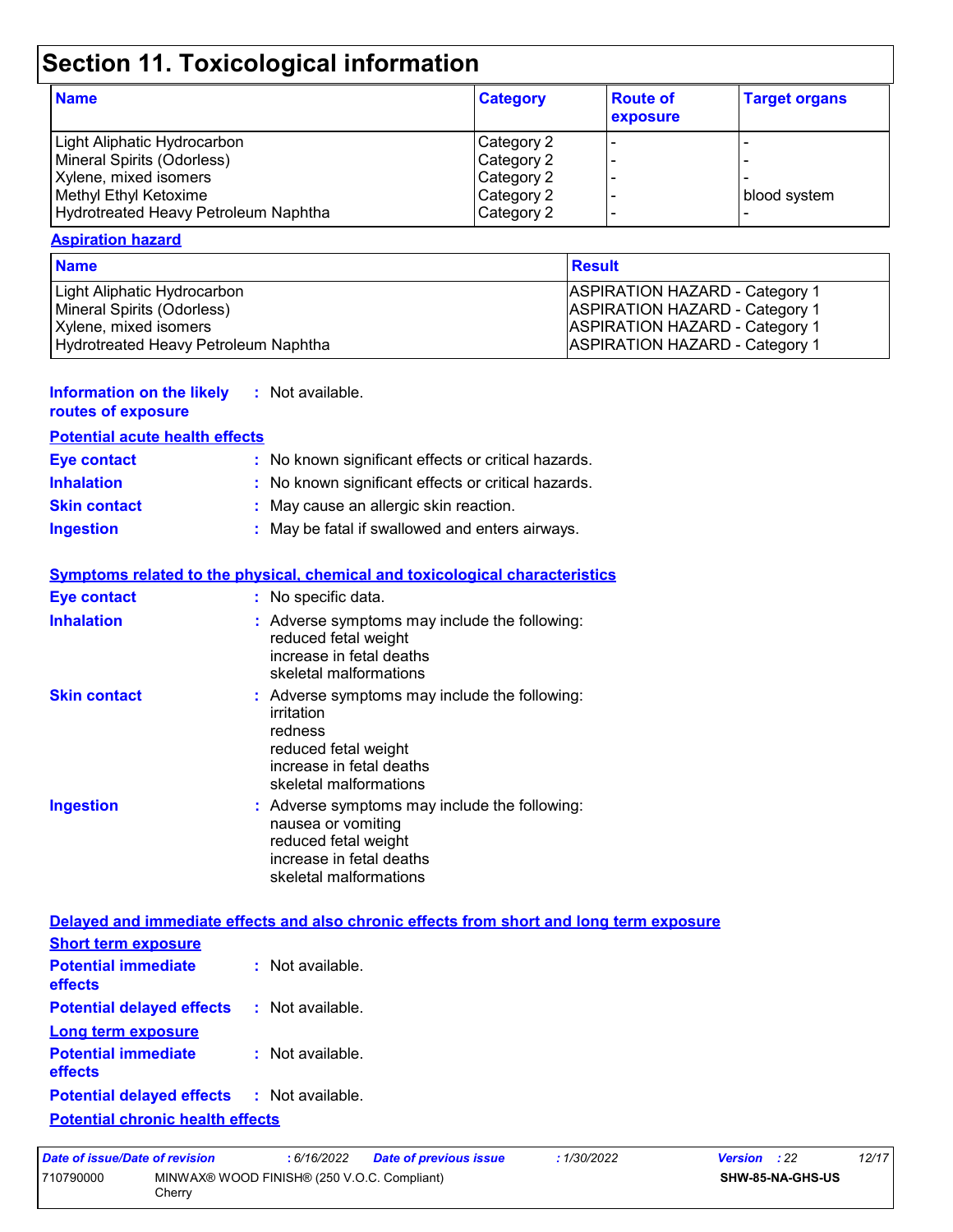# **Section 11. Toxicological information**

| <b>Name</b>                          | <b>Category</b> | <b>Route of</b><br>exposure | <b>Target organs</b> |
|--------------------------------------|-----------------|-----------------------------|----------------------|
| Light Aliphatic Hydrocarbon          | Category 2      |                             |                      |
| Mineral Spirits (Odorless)           | Category 2      |                             |                      |
| Xylene, mixed isomers                | Category 2      |                             |                      |
| Methyl Ethyl Ketoxime                | Category 2      |                             | blood system         |
| Hydrotreated Heavy Petroleum Naphtha | Category 2      |                             |                      |

#### **Aspiration hazard**

| <b>Name</b>                          | Result                                |
|--------------------------------------|---------------------------------------|
| Light Aliphatic Hydrocarbon          | <b>ASPIRATION HAZARD - Category 1</b> |
| Mineral Spirits (Odorless)           | <b>ASPIRATION HAZARD - Category 1</b> |
| Xylene, mixed isomers                | <b>ASPIRATION HAZARD - Category 1</b> |
| Hydrotreated Heavy Petroleum Naphtha | <b>ASPIRATION HAZARD - Category 1</b> |

#### **Information on the likely :** Not available.

#### **routes of exposure**

| <b>Potential acute health effects</b> |                                                     |  |  |
|---------------------------------------|-----------------------------------------------------|--|--|
| Eye contact                           | : No known significant effects or critical hazards. |  |  |
| <b>Inhalation</b>                     | : No known significant effects or critical hazards. |  |  |
| <b>Skin contact</b>                   | : May cause an allergic skin reaction.              |  |  |
| <b>Ingestion</b>                      | : May be fatal if swallowed and enters airways.     |  |  |

#### **Symptoms related to the physical, chemical and toxicological characteristics**

| <b>Eye contact</b>  | : No specific data.                                                                                                                                  |
|---------------------|------------------------------------------------------------------------------------------------------------------------------------------------------|
| <b>Inhalation</b>   | : Adverse symptoms may include the following:<br>reduced fetal weight<br>increase in fetal deaths<br>skeletal malformations                          |
| <b>Skin contact</b> | : Adverse symptoms may include the following:<br>irritation<br>redness<br>reduced fetal weight<br>increase in fetal deaths<br>skeletal malformations |
| Ingestion           | : Adverse symptoms may include the following:<br>nausea or vomiting<br>reduced fetal weight<br>increase in fetal deaths<br>skeletal malformations    |

#### **Delayed and immediate effects and also chronic effects from short and long term exposure**

| <b>Short term exposure</b>                                                                           |                    |
|------------------------------------------------------------------------------------------------------|--------------------|
| <b>Potential immediate</b><br>effects                                                                | $:$ Not available. |
| <b>Potential delayed effects : Not available.</b>                                                    |                    |
| Long term exposure                                                                                   |                    |
| <b>Potential immediate</b><br>effects                                                                | $:$ Not available. |
| <b>Potential delayed effects : Not available.</b>                                                    |                    |
| 1990年,1990年,1991年,1992年,1992年,1992年,1992年,1992年,1992年,1992年,1992年,1992年,1992年,1992年,1992年,1992年,1992 |                    |

#### **Potential chronic health effects**

| Date of issue/Date of revision |                                                       | : 6/16/2022 | Date of previous issue | : 1/30/2022             | <b>Version</b> : 22 | 12/17 |
|--------------------------------|-------------------------------------------------------|-------------|------------------------|-------------------------|---------------------|-------|
| 710790000                      | MINWAX® WOOD FINISH® (250 V.O.C. Compliant)<br>Cherrv |             |                        | <b>SHW-85-NA-GHS-US</b> |                     |       |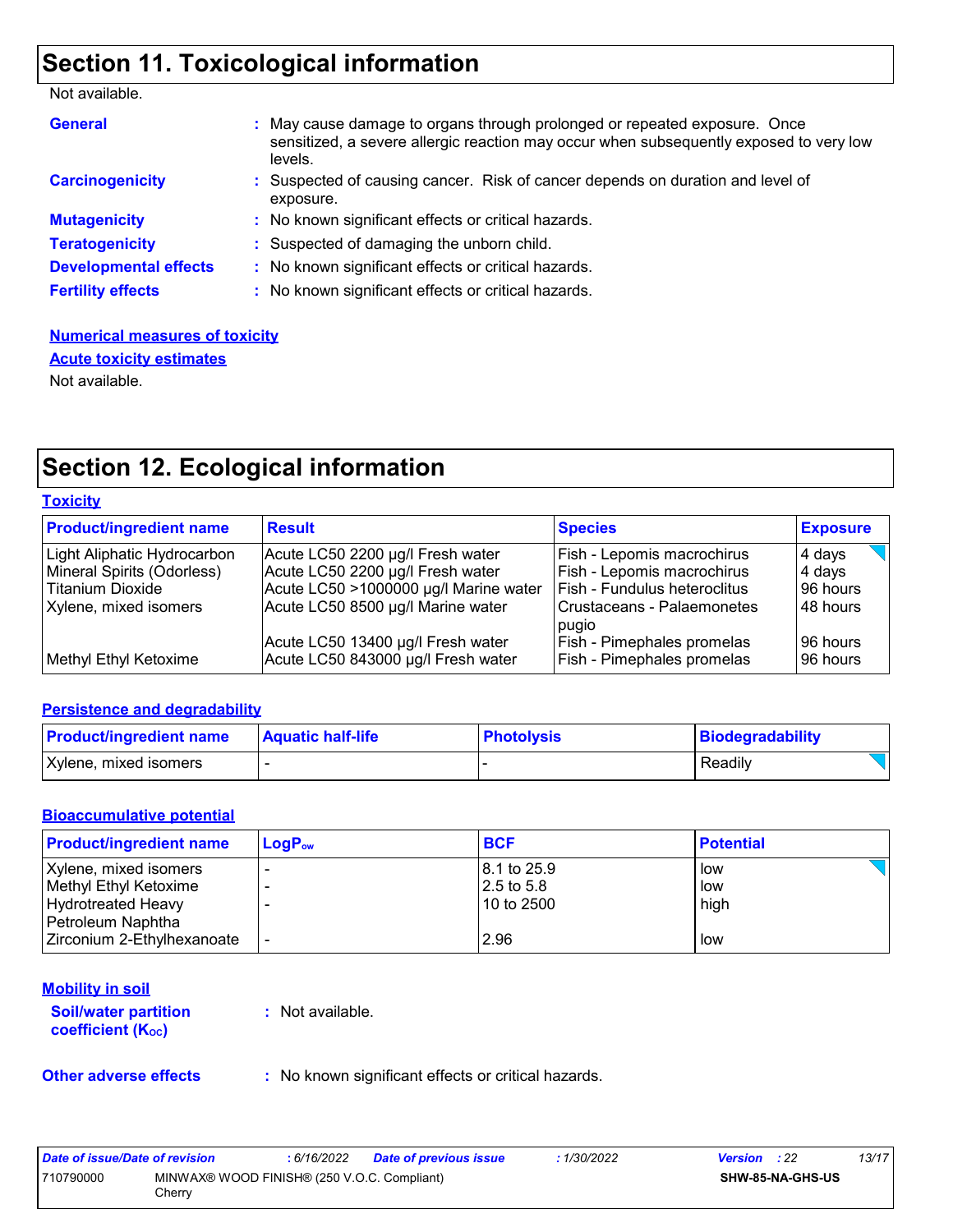# **Section 11. Toxicological information**

Not available.

| <b>General</b>               | : May cause damage to organs through prolonged or repeated exposure. Once<br>sensitized, a severe allergic reaction may occur when subsequently exposed to very low<br>levels. |
|------------------------------|--------------------------------------------------------------------------------------------------------------------------------------------------------------------------------|
| <b>Carcinogenicity</b>       | : Suspected of causing cancer. Risk of cancer depends on duration and level of<br>exposure.                                                                                    |
| <b>Mutagenicity</b>          | : No known significant effects or critical hazards.                                                                                                                            |
| <b>Teratogenicity</b>        | : Suspected of damaging the unborn child.                                                                                                                                      |
| <b>Developmental effects</b> | : No known significant effects or critical hazards.                                                                                                                            |
| <b>Fertility effects</b>     | : No known significant effects or critical hazards.                                                                                                                            |

#### **Numerical measures of toxicity** Not available. **Acute toxicity estimates**

### **Section 12. Ecological information**

#### **Toxicity**

| <b>Product/ingredient name</b> | Result                                                                  | <b>Species</b>                                                         | <b>Exposure</b>       |
|--------------------------------|-------------------------------------------------------------------------|------------------------------------------------------------------------|-----------------------|
| Light Aliphatic Hydrocarbon    | Acute LC50 2200 µg/l Fresh water                                        | Fish - Lepomis macrochirus                                             | 4 days                |
| Mineral Spirits (Odorless)     | Acute LC50 2200 µg/l Fresh water                                        | <b>Fish - Lepomis macrochirus</b>                                      | 4 days                |
| <b>Titanium Dioxide</b>        | Acute LC50 >1000000 µg/l Marine water                                   | <b>Fish - Fundulus heteroclitus</b>                                    | 196 hours             |
| Xylene, mixed isomers          | Acute LC50 8500 µg/l Marine water                                       | l Crustaceans - Palaemonetes<br>pugio                                  | 48 hours              |
| Methyl Ethyl Ketoxime          | Acute LC50 13400 µg/l Fresh water<br>Acute LC50 843000 µg/l Fresh water | <b>Fish - Pimephales promelas</b><br><b>Fish - Pimephales promelas</b> | 196 hours<br>96 hours |

#### **Persistence and degradability**

| <b>Product/ingredient name</b> | <b>Aquatic half-life</b> | <b>Photolysis</b> | Biodegradability |  |
|--------------------------------|--------------------------|-------------------|------------------|--|
| Xylene, mixed isomers          |                          |                   | Readily          |  |

#### **Bioaccumulative potential**

| <b>Product/ingredient name</b>                  | $\mathsf{LogP}_\mathsf{ow}$ | <b>BCF</b>                  | <b>Potential</b> |
|-------------------------------------------------|-----------------------------|-----------------------------|------------------|
| Xylene, mixed isomers                           |                             | 18.1 to 25.9                | low              |
| Methyl Ethyl Ketoxime<br>Hydrotreated Heavy     |                             | $12.5$ to 5.8<br>10 to 2500 | low<br>high      |
| Petroleum Naphtha<br>Zirconium 2-Ethylhexanoate |                             | 2.96                        | low              |

#### **Mobility in soil**

**Soil/water partition coefficient (K**<sub>oc</sub>)

**:** Not available.

**Other adverse effects** : No known significant effects or critical hazards.

| Date of issue/Date of revision |                                                       | : 6/16/2022 | <b>Date of previous issue</b> | 1/30/2022 | <b>Version</b> : 22 |                         | 13/17 |
|--------------------------------|-------------------------------------------------------|-------------|-------------------------------|-----------|---------------------|-------------------------|-------|
| 710790000                      | MINWAX® WOOD FINISH® (250 V.O.C. Compliant)<br>Cherrv |             |                               |           |                     | <b>SHW-85-NA-GHS-US</b> |       |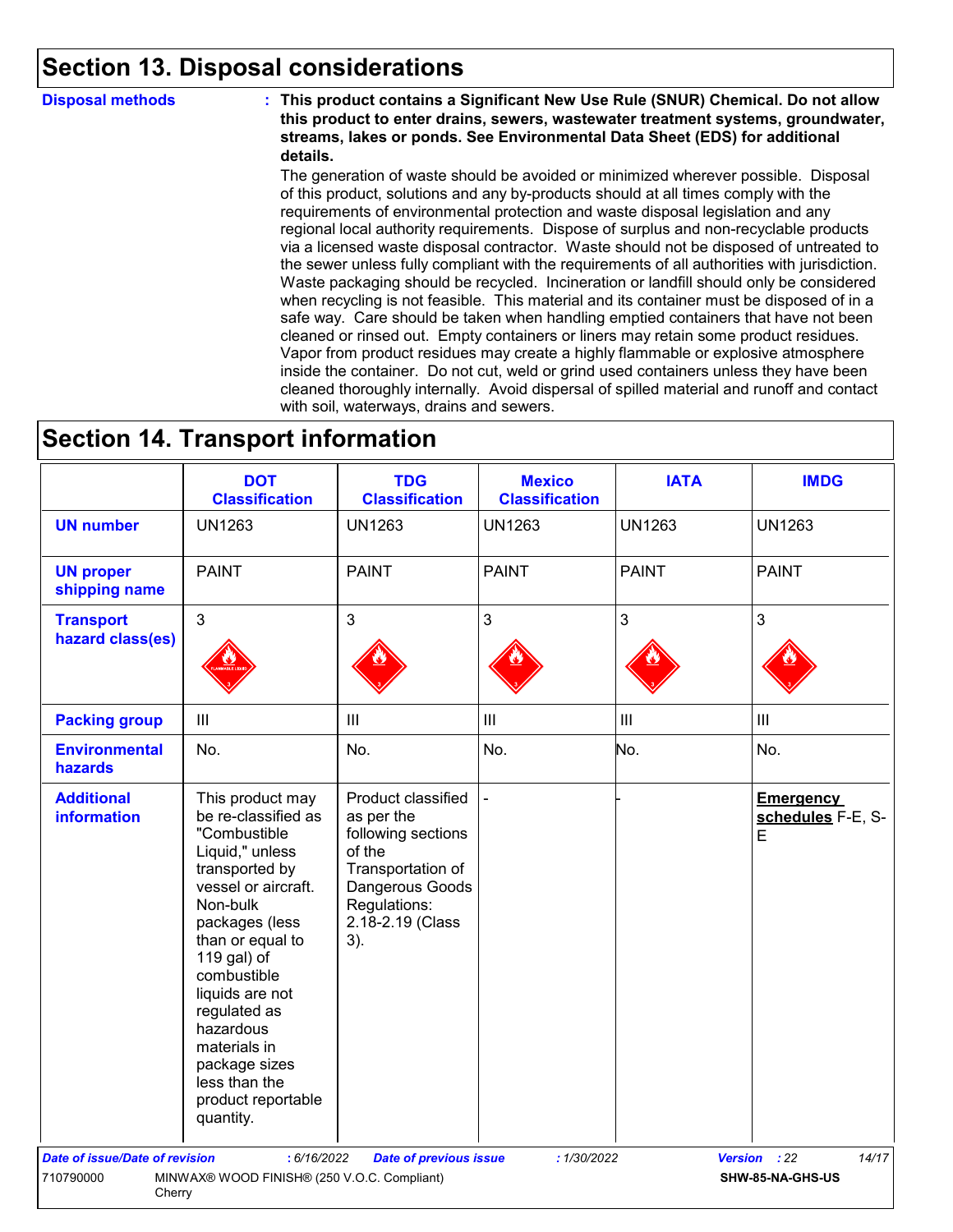### **Section 13. Disposal considerations**

**Disposal methods : This product contains a Significant New Use Rule (SNUR) Chemical. Do not allow this product to enter drains, sewers, wastewater treatment systems, groundwater, streams, lakes or ponds. See Environmental Data Sheet (EDS) for additional details.**

> The generation of waste should be avoided or minimized wherever possible. Disposal of this product, solutions and any by-products should at all times comply with the requirements of environmental protection and waste disposal legislation and any regional local authority requirements. Dispose of surplus and non-recyclable products via a licensed waste disposal contractor. Waste should not be disposed of untreated to the sewer unless fully compliant with the requirements of all authorities with jurisdiction. Waste packaging should be recycled. Incineration or landfill should only be considered when recycling is not feasible. This material and its container must be disposed of in a safe way. Care should be taken when handling emptied containers that have not been cleaned or rinsed out. Empty containers or liners may retain some product residues. Vapor from product residues may create a highly flammable or explosive atmosphere inside the container. Do not cut, weld or grind used containers unless they have been cleaned thoroughly internally. Avoid dispersal of spilled material and runoff and contact with soil, waterways, drains and sewers.

### **Section 14. Transport information**

|                                         | <b>DOT</b><br><b>Classification</b>                                                                                                                                                                                                                                                                                                      | <b>TDG</b><br><b>Classification</b>                                                                                                                 | <b>Mexico</b><br><b>Classification</b> | <b>IATA</b>    | <b>IMDG</b>                                |
|-----------------------------------------|------------------------------------------------------------------------------------------------------------------------------------------------------------------------------------------------------------------------------------------------------------------------------------------------------------------------------------------|-----------------------------------------------------------------------------------------------------------------------------------------------------|----------------------------------------|----------------|--------------------------------------------|
| <b>UN number</b>                        | <b>UN1263</b>                                                                                                                                                                                                                                                                                                                            | <b>UN1263</b>                                                                                                                                       | <b>UN1263</b>                          | <b>UN1263</b>  | <b>UN1263</b>                              |
| <b>UN proper</b><br>shipping name       | <b>PAINT</b>                                                                                                                                                                                                                                                                                                                             | <b>PAINT</b>                                                                                                                                        | <b>PAINT</b>                           | <b>PAINT</b>   | <b>PAINT</b>                               |
| <b>Transport</b><br>hazard class(es)    | $\mathbf{3}$                                                                                                                                                                                                                                                                                                                             | 3                                                                                                                                                   | $\mathfrak{S}$                         | 3              | $\mathbf{3}$                               |
| <b>Packing group</b>                    | $\mathop{\rm III}$                                                                                                                                                                                                                                                                                                                       | $\mathbf{III}$                                                                                                                                      | $\ensuremath{\mathsf{III}}\xspace$     | $\mathbf{III}$ | $\ensuremath{\mathsf{III}}\xspace$         |
| <b>Environmental</b><br>hazards         | No.                                                                                                                                                                                                                                                                                                                                      | No.                                                                                                                                                 | No.                                    | No.            | No.                                        |
| <b>Additional</b><br><b>information</b> | This product may<br>be re-classified as<br>"Combustible<br>Liquid," unless<br>transported by<br>vessel or aircraft.<br>Non-bulk<br>packages (less<br>than or equal to<br>119 gal) of<br>combustible<br>liquids are not<br>regulated as<br>hazardous<br>materials in<br>package sizes<br>less than the<br>product reportable<br>quantity. | Product classified<br>as per the<br>following sections<br>of the<br>Transportation of<br>Dangerous Goods<br>Regulations:<br>2.18-2.19 (Class<br>3). |                                        |                | <b>Emergency</b><br>schedules F-E, S-<br>E |
| Date of issue/Date of revision          | : 6/16/2022                                                                                                                                                                                                                                                                                                                              | <b>Date of previous issue</b>                                                                                                                       | :1/30/2022                             |                | 14/17<br>Version : 22                      |
| 710790000<br>Cherry                     | MINWAX® WOOD FINISH® (250 V.O.C. Compliant)                                                                                                                                                                                                                                                                                              |                                                                                                                                                     |                                        |                | SHW-85-NA-GHS-US                           |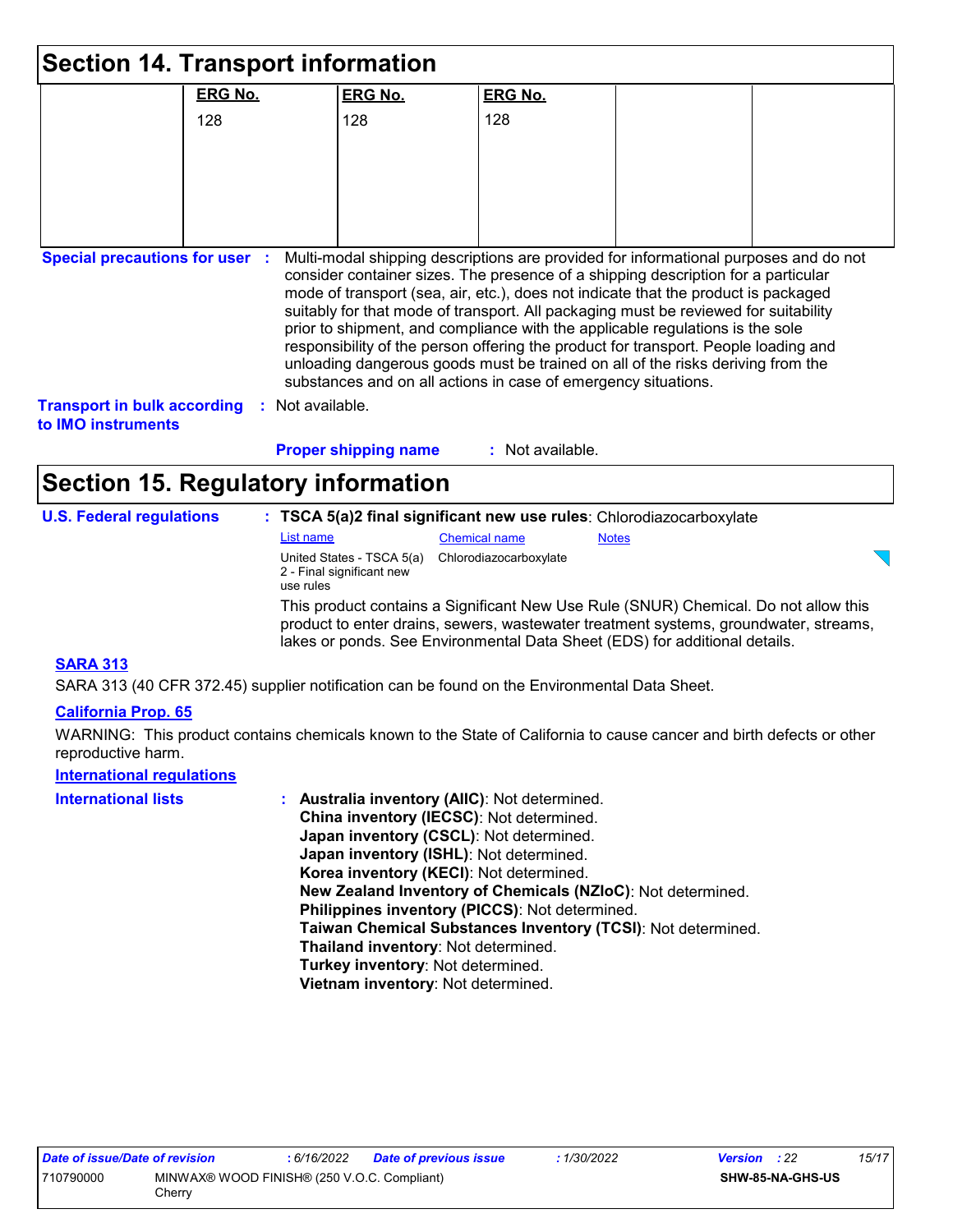|                                                          | <b>Section 14. Transport information</b>  |                                                        |                                                                                                                                                                     |              |                                                                                                                                                                                                                                                                                                                                                                                                                                          |
|----------------------------------------------------------|-------------------------------------------|--------------------------------------------------------|---------------------------------------------------------------------------------------------------------------------------------------------------------------------|--------------|------------------------------------------------------------------------------------------------------------------------------------------------------------------------------------------------------------------------------------------------------------------------------------------------------------------------------------------------------------------------------------------------------------------------------------------|
|                                                          | <b>ERG No.</b>                            | <b>ERG No.</b>                                         | <b>ERG No.</b>                                                                                                                                                      |              |                                                                                                                                                                                                                                                                                                                                                                                                                                          |
|                                                          | 128                                       | 128                                                    | 128                                                                                                                                                                 |              |                                                                                                                                                                                                                                                                                                                                                                                                                                          |
|                                                          |                                           |                                                        |                                                                                                                                                                     |              |                                                                                                                                                                                                                                                                                                                                                                                                                                          |
|                                                          |                                           |                                                        |                                                                                                                                                                     |              |                                                                                                                                                                                                                                                                                                                                                                                                                                          |
|                                                          |                                           |                                                        |                                                                                                                                                                     |              |                                                                                                                                                                                                                                                                                                                                                                                                                                          |
|                                                          |                                           |                                                        |                                                                                                                                                                     |              |                                                                                                                                                                                                                                                                                                                                                                                                                                          |
| <b>Transport in bulk according</b><br>to IMO instruments | Not available.                            | <b>Proper shipping name</b>                            | prior to shipment, and compliance with the applicable regulations is the sole<br>substances and on all actions in case of emergency situations.<br>: Not available. |              | consider container sizes. The presence of a shipping description for a particular<br>mode of transport (sea, air, etc.), does not indicate that the product is packaged<br>suitably for that mode of transport. All packaging must be reviewed for suitability<br>responsibility of the person offering the product for transport. People loading and<br>unloading dangerous goods must be trained on all of the risks deriving from the |
|                                                          | <b>Section 15. Regulatory information</b> |                                                        |                                                                                                                                                                     |              |                                                                                                                                                                                                                                                                                                                                                                                                                                          |
| <b>U.S. Federal regulations</b>                          |                                           |                                                        | : TSCA 5(a)2 final significant new use rules: Chlorodiazocarboxylate                                                                                                |              |                                                                                                                                                                                                                                                                                                                                                                                                                                          |
|                                                          | List name                                 |                                                        | <b>Chemical name</b>                                                                                                                                                | <b>Notes</b> |                                                                                                                                                                                                                                                                                                                                                                                                                                          |
|                                                          | use rules                                 | United States - TSCA 5(a)<br>2 - Final significant new | Chlorodiazocarboxylate                                                                                                                                              |              |                                                                                                                                                                                                                                                                                                                                                                                                                                          |
|                                                          |                                           |                                                        | lakes or ponds. See Environmental Data Sheet (EDS) for additional details.                                                                                          |              | This product contains a Significant New Use Rule (SNUR) Chemical. Do not allow this<br>product to enter drains, sewers, wastewater treatment systems, groundwater, streams,                                                                                                                                                                                                                                                              |
| <b>SARA 313</b>                                          |                                           |                                                        |                                                                                                                                                                     |              |                                                                                                                                                                                                                                                                                                                                                                                                                                          |

SARA 313 (40 CFR 372.45) supplier notification can be found on the Environmental Data Sheet.

#### **California Prop. 65**

WARNING: This product contains chemicals known to the State of California to cause cancer and birth defects or other reproductive harm.

### **International regulations**

| <b>International lists</b> | : Australia inventory (AIIC): Not determined.                |
|----------------------------|--------------------------------------------------------------|
|                            | China inventory (IECSC): Not determined.                     |
|                            | Japan inventory (CSCL): Not determined.                      |
|                            | Japan inventory (ISHL): Not determined.                      |
|                            | Korea inventory (KECI): Not determined.                      |
|                            | New Zealand Inventory of Chemicals (NZIoC): Not determined.  |
|                            | Philippines inventory (PICCS): Not determined.               |
|                            | Taiwan Chemical Substances Inventory (TCSI): Not determined. |
|                            | Thailand inventory: Not determined.                          |
|                            | Turkey inventory: Not determined.                            |
|                            | Vietnam inventory: Not determined.                           |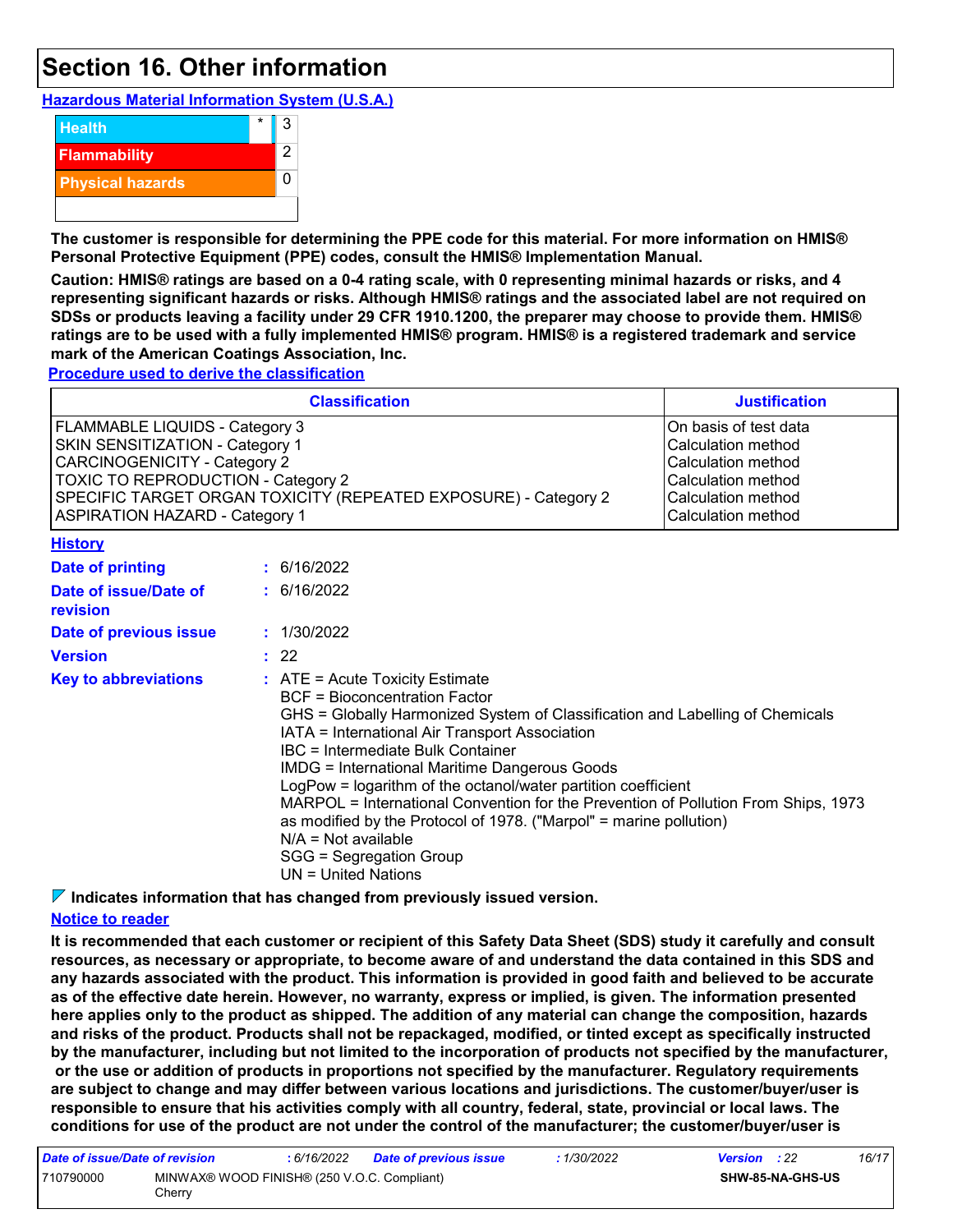### **Section 16. Other information**

**Hazardous Material Information System (U.S.A.)**



**The customer is responsible for determining the PPE code for this material. For more information on HMIS® Personal Protective Equipment (PPE) codes, consult the HMIS® Implementation Manual.**

**Caution: HMIS® ratings are based on a 0-4 rating scale, with 0 representing minimal hazards or risks, and 4 representing significant hazards or risks. Although HMIS® ratings and the associated label are not required on SDSs or products leaving a facility under 29 CFR 1910.1200, the preparer may choose to provide them. HMIS® ratings are to be used with a fully implemented HMIS® program. HMIS® is a registered trademark and service mark of the American Coatings Association, Inc.**

**Procedure used to derive the classification**

|                                   |                                                                                                                                                                                                                                 | <b>Classification</b>                                                                                                                                                                                                                                                                                                                                                                                                                                                                                                                                                                                               | <b>Justification</b> |  |
|-----------------------------------|---------------------------------------------------------------------------------------------------------------------------------------------------------------------------------------------------------------------------------|---------------------------------------------------------------------------------------------------------------------------------------------------------------------------------------------------------------------------------------------------------------------------------------------------------------------------------------------------------------------------------------------------------------------------------------------------------------------------------------------------------------------------------------------------------------------------------------------------------------------|----------------------|--|
| FLAMMABLE LIQUIDS - Category 3    | SKIN SENSITIZATION - Category 1<br><b>CARCINOGENICITY - Category 2</b><br><b>TOXIC TO REPRODUCTION - Category 2</b><br>SPECIFIC TARGET ORGAN TOXICITY (REPEATED EXPOSURE) - Category 2<br><b>ASPIRATION HAZARD - Category 1</b> |                                                                                                                                                                                                                                                                                                                                                                                                                                                                                                                                                                                                                     |                      |  |
| <b>History</b>                    |                                                                                                                                                                                                                                 |                                                                                                                                                                                                                                                                                                                                                                                                                                                                                                                                                                                                                     |                      |  |
| <b>Date of printing</b>           |                                                                                                                                                                                                                                 | : 6/16/2022                                                                                                                                                                                                                                                                                                                                                                                                                                                                                                                                                                                                         |                      |  |
| Date of issue/Date of<br>revision | : 6/16/2022                                                                                                                                                                                                                     |                                                                                                                                                                                                                                                                                                                                                                                                                                                                                                                                                                                                                     |                      |  |
| Date of previous issue            |                                                                                                                                                                                                                                 | : 1/30/2022                                                                                                                                                                                                                                                                                                                                                                                                                                                                                                                                                                                                         |                      |  |
| <b>Version</b>                    |                                                                                                                                                                                                                                 | : 22                                                                                                                                                                                                                                                                                                                                                                                                                                                                                                                                                                                                                |                      |  |
| <b>Key to abbreviations</b>       |                                                                                                                                                                                                                                 | $:$ ATE = Acute Toxicity Estimate<br><b>BCF</b> = Bioconcentration Factor<br>GHS = Globally Harmonized System of Classification and Labelling of Chemicals<br>IATA = International Air Transport Association<br>IBC = Intermediate Bulk Container<br><b>IMDG = International Maritime Dangerous Goods</b><br>LogPow = logarithm of the octanol/water partition coefficient<br>MARPOL = International Convention for the Prevention of Pollution From Ships, 1973<br>as modified by the Protocol of 1978. ("Marpol" = marine pollution)<br>$N/A = Not available$<br>SGG = Segregation Group<br>$UN = United Nations$ |                      |  |

**Indicates information that has changed from previously issued version.**

#### **Notice to reader**

**It is recommended that each customer or recipient of this Safety Data Sheet (SDS) study it carefully and consult resources, as necessary or appropriate, to become aware of and understand the data contained in this SDS and any hazards associated with the product. This information is provided in good faith and believed to be accurate as of the effective date herein. However, no warranty, express or implied, is given. The information presented here applies only to the product as shipped. The addition of any material can change the composition, hazards and risks of the product. Products shall not be repackaged, modified, or tinted except as specifically instructed by the manufacturer, including but not limited to the incorporation of products not specified by the manufacturer, or the use or addition of products in proportions not specified by the manufacturer. Regulatory requirements are subject to change and may differ between various locations and jurisdictions. The customer/buyer/user is responsible to ensure that his activities comply with all country, federal, state, provincial or local laws. The conditions for use of the product are not under the control of the manufacturer; the customer/buyer/user is** 

| Date of issue/Date of revision                           |  | : 6/16/2022 | Date of previous issue | : 1/30/2022 | <b>Version</b> : 22 |                         | 16/17 |
|----------------------------------------------------------|--|-------------|------------------------|-------------|---------------------|-------------------------|-------|
| 710790000<br>MINWAX® WOOD FINISH® (250 V.O.C. Compliant) |  |             |                        |             |                     | <b>SHW-85-NA-GHS-US</b> |       |
| Cherrv                                                   |  |             |                        |             |                     |                         |       |